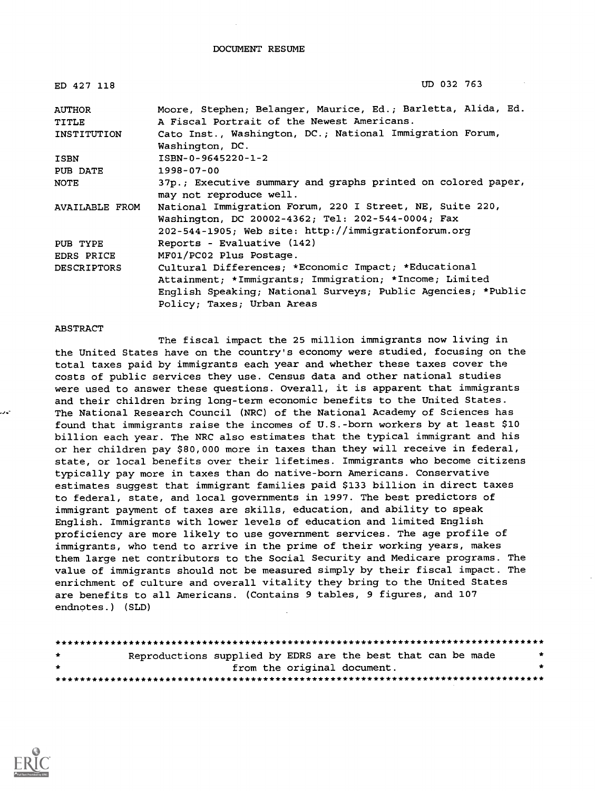| ED 427 118         | UD 032 763                                                   |
|--------------------|--------------------------------------------------------------|
| <b>AUTHOR</b>      | Moore, Stephen; Belanger, Maurice, Ed.; Barletta, Alida, Ed. |
| <b>TITLE</b>       | A Fiscal Portrait of the Newest Americans.                   |
| INSTITUTION        | Cato Inst., Washington, DC.; National Immigration Forum,     |
|                    | Washington, DC.                                              |
| ISBN               | ISBN-0-9645220-1-2                                           |
| PUB DATE           | $1998 - 07 - 00$                                             |
| <b>NOTE</b>        | 37p.; Executive summary and graphs printed on colored paper, |
|                    | may not reproduce well.                                      |
| AVAILABLE FROM     | National Immigration Forum, 220 I Street, NE, Suite 220,     |
|                    | Washington, DC 20002-4362; Tel: 202-544-0004; Fax            |
|                    | 202-544-1905; Web site: http://immigrationforum.org          |
| PUB TYPE           | Reports - Evaluative (142)                                   |
| EDRS PRICE         | MF01/PC02 Plus Postage.                                      |
| <b>DESCRIPTORS</b> | Cultural Differences; *Economic Impact; *Educational         |
|                    | Attainment; *Immigrants; Immigration; *Income; Limited       |
|                    | English Speaking; National Surveys; Public Agencies; *Public |
|                    | Policy; Taxes; Urban Areas                                   |

#### ABSTRACT

The fiscal impact the 25 million immigrants now living in the United States have on the country's economy were studied, focusing on the total taxes paid by immigrants each year and whether these taxes cover the costs of public services they use. Census data and other national studies were used to answer these questions. Overall, it is apparent that immigrants and their children bring long-term economic benefits to the United States. The National Research Council (NRC) of the National Academy of Sciences has found that immigrants raise the incomes of U.S.-born workers by at least \$10 billion each year. The NRC also estimates that the typical immigrant and his or her children pay \$80,000 more in taxes than they will receive in federal, state, or local benefits over their lifetimes. Immigrants who become citizens typically pay more in taxes than do native-born Americans. Conservative estimates suggest that immigrant families paid \$133 billion in direct taxes to federal, state, and local governments in 1997. The best predictors of immigrant payment of taxes are skills, education, and ability to speak English. Immigrants with lower levels of education and limited English proficiency are more likely to use government services. The age profile of immigrants, who tend to arrive in the prime of their working years, makes them large net contributors to the Social Security and Medicare programs. The value of immigrants should not be measured simply by their fiscal impact. The enrichment of culture and overall vitality they bring to the United States are benefits to all Americans. (Contains 9 tables, 9 figures, and 107 endnotes.) (SLD)

| $\rightarrow$ | Reproductions supplied by EDRS are the best that can be made |  |                             |  |  |
|---------------|--------------------------------------------------------------|--|-----------------------------|--|--|
| $\star$       |                                                              |  | from the original document. |  |  |
|               |                                                              |  |                             |  |  |

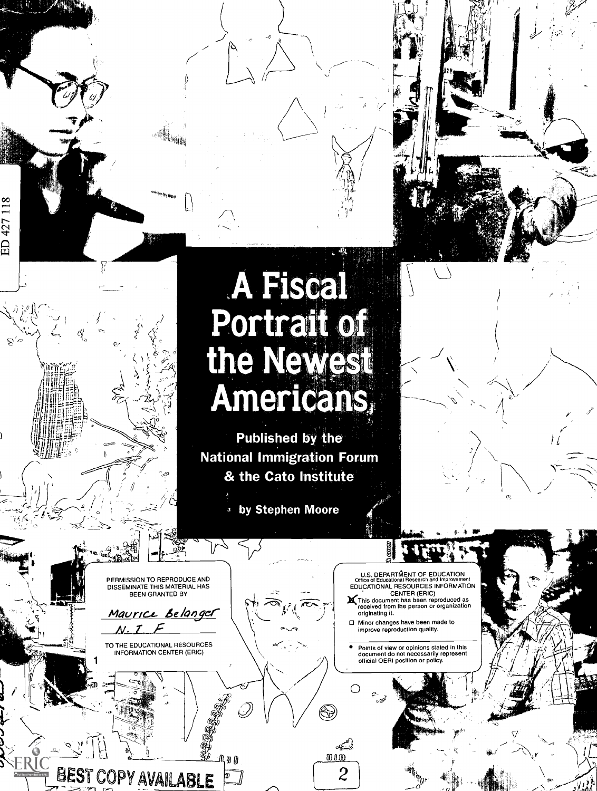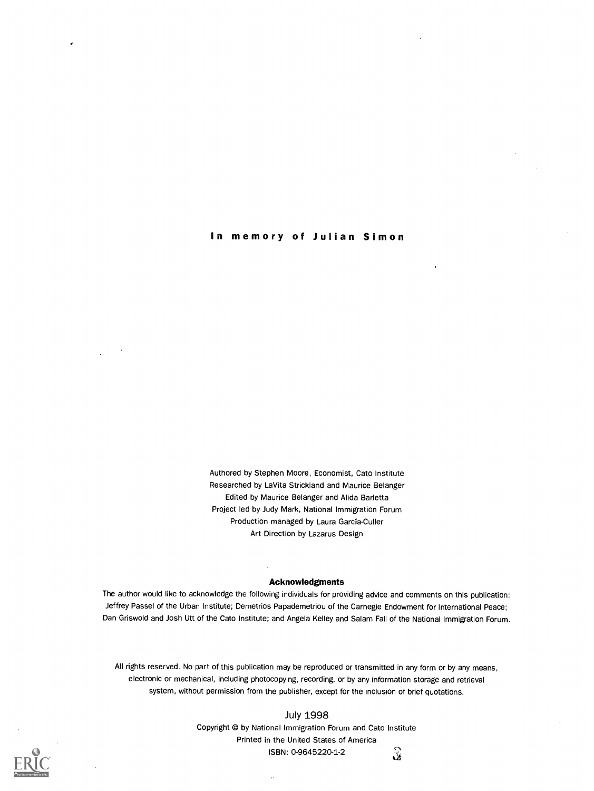in memory of Julian Simon

Authored by Stephen Moore, Economist, Cato Institute Researched by LaVita Strickland and Maurice Belanger Edited by Maurice Belanger and Alida Barletta Project led by Judy Mark, National Immigration Forum Production managed by Laura Garcia-Culler Art Direction by Lazarus Design

#### Acknowledgments

The author would like to acknowledge the following individuals for providing advice and comments on this publication: Jeffrey Passel of the Urban Institute; Demetrios Papademetriou of the Carnegie Endowment for International Peace; Dan Griswold and Josh Utt of the Cato Institute; and Angela Kelley and Salem Fail of the National Immigration Forum.

All rights reserved. No part of this publication may be reproduced or transmitted in any form or by any means, electronic or mechanical, including photocopying, recording, or by any information storage and retrieval system, without permission from the publisher, except for the inclusion of brief quotations.

> July 1998 Copyright © by National Immigration Forum and Cato Institute Printed in the United States of America  $\hat{\mathbf{x}}$ ISBN: 0-9645220-1-2

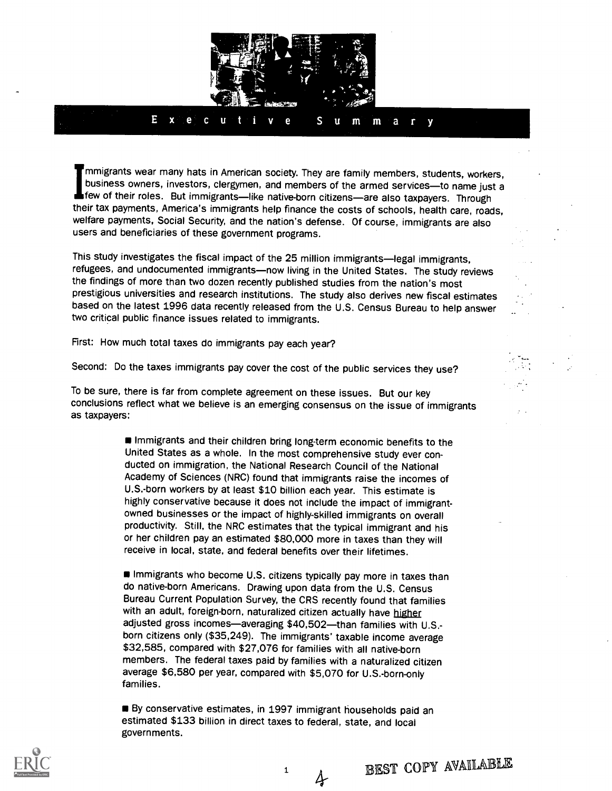

Immigrants wear many hats in American society. They are family members, students, workers, business owners, investors, clergymen, and members of the armed services-to name just a few of their roles. But immigrants—like native-born citizens—are also taxpayers. Through their tax payments, America's immigrants help finance the costs of schools, health care, roads, welfare payments, Social Security, and the nation's defense. Of course, immigrants are also users and beneficiaries of these government programs.

This study investigates the fiscal impact of the 25 million immigrants-legal immigrants, refugees, and undocumented immigrants-now living in the United States. The study reviews the findings of more than two dozen recently published studies from the nation's most prestigious universities and research institutions. The study also derives new fiscal estimates based on the latest 1996 data recently released from the U.S. Census Bureau to help answer two critical public finance issues related to immigrants.

First: How much total taxes do immigrants pay each year?

Second: Do the taxes immigrants pay cover the cost of the public services they use?

To be sure, there is far from complete agreement on these issues. But our key conclusions reflect what we believe is an emerging consensus on the issue of immigrants as taxpayers:

> Immigrants and their children bring long-term economic benefits to the United States as a whole. In the most comprehensive study ever conducted on immigration, the National Research Council of the National Academy of Sciences (NRC) found that immigrants raise the incomes of U.S.-born workers by at least \$10 billion each year. This estimate is highly conservative because it does not include the impact of immigrantowned businesses or the impact of highly-skilled immigrants on overall productivity. Still, the NRC estimates that the typical immigrant and his or her children pay an estimated \$80,000 more in taxes than they will receive in local, state, and federal benefits over their lifetimes.

Immigrants who become U.S. citizens typically pay more in taxes than do native-born Americans. Drawing upon data from the U.S. Census Bureau Current Population Survey, the CRS recently found that families with an adult, foreign-born, naturalized citizen actually have higher adjusted gross incomes-averaging \$40,502-than families with U.S.born citizens only (\$35,249). The immigrants' taxable income average \$32,585, compared with \$27,076 for families with all native-born members. The federal taxes paid by families with a naturalized citizen average \$6,580 per year, compared with \$5,070 for U.S.-born-only families.

By conservative estimates, in 1997 immigrant households paid an estimated \$133 billion in direct taxes to federal, state, and local governments.

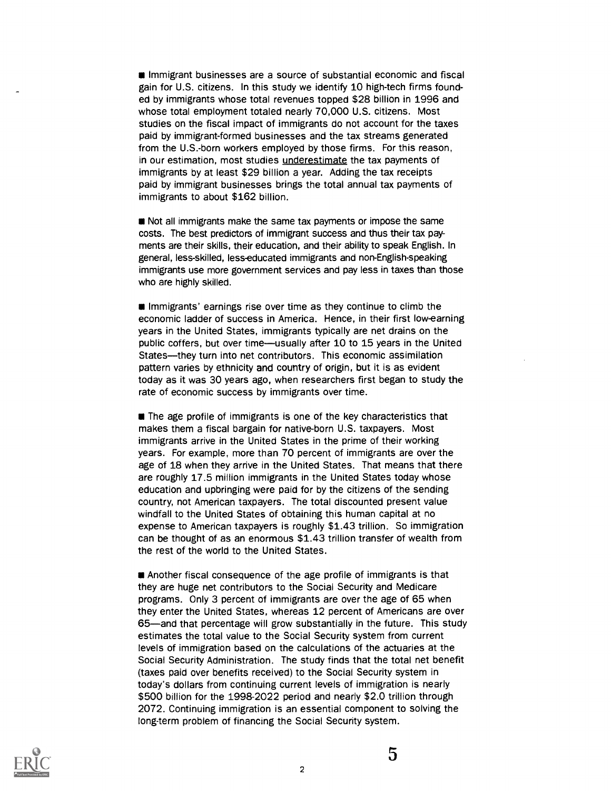**Immigrant businesses are a source of substantial economic and fiscal** gain for U.S. citizens. In this study we identify 10 high-tech firms founded by immigrants whose total revenues topped \$28 billion in 1996 and whose total employment totaled nearly 70,000 U.S. citizens. Most studies on the fiscal impact of immigrants do not account for the taxes paid by immigrant-formed businesses and the tax streams generated from the U.S.-born workers employed by those firms. For this reason, in our estimation, most studies underestimate the tax payments of immigrants by at least \$29 billion a year. Adding the tax receipts paid by immigrant businesses brings the total annual tax payments of immigrants to about \$162 billion.

**Not all immigrants make the same tax payments or impose the same** costs. The best predictors of immigrant success and thus their tax payments are their skills, their education, and their ability to speak English. In general, less-skilled, less-educated immigrants and non-English-speaking immigrants use more government services and pay less in taxes than those who are highly skilled.

**Immigrants' earnings rise over time as they continue to climb the** economic ladder of success in America. Hence, in their first low-earning years in the United States, immigrants typically are net drains on the public coffers, but over time—usually after 10 to 15 years in the United States-they turn into net contributors. This economic assimilation pattern varies by ethnicity and country of origin, but it is as evident today as it was 30 years ago, when researchers first began to study the rate of economic success by immigrants over time.

**The age profile of immigrants is one of the key characteristics that** makes them a fiscal bargain for native-born U.S. taxpayers. Most immigrants arrive in the United States in the prime of their working years. For example, more than 70 percent of immigrants are over the age of 18 when they arrive in the United States. That means that there are roughly 17.5 million immigrants in the United States today whose education and upbringing were paid for by the citizens of the sending country, not American taxpayers. The total discounted present value windfall to the United States of obtaining this human capital at no expense to American taxpayers is roughly \$1.43 trillion. So immigration can be thought of as an enormous \$1.43 trillion transfer of wealth from the rest of the world to the United States.

**Another fiscal consequence of the age profile of immigrants is that** they are huge net contributors to the Social Security and Medicare programs. Only 3 percent of immigrants are over the age of 65 when they enter the United States, whereas 12 percent of Americans are over 65—and that percentage will grow substantially in the future. This study estimates the total value to the Social Security system from current levels of immigration based on the calculations of the actuaries at the Social Security Administration. The study finds that the total net benefit (taxes paid over benefits received) to the Social Security system in today's dollars from continuing current levels of immigration is nearly \$500 billion for the 1998-2022 period and nearly \$2.0 trillion through 2072. Continuing immigration is an essential component to solving the long-term problem of financing the Social Security system.

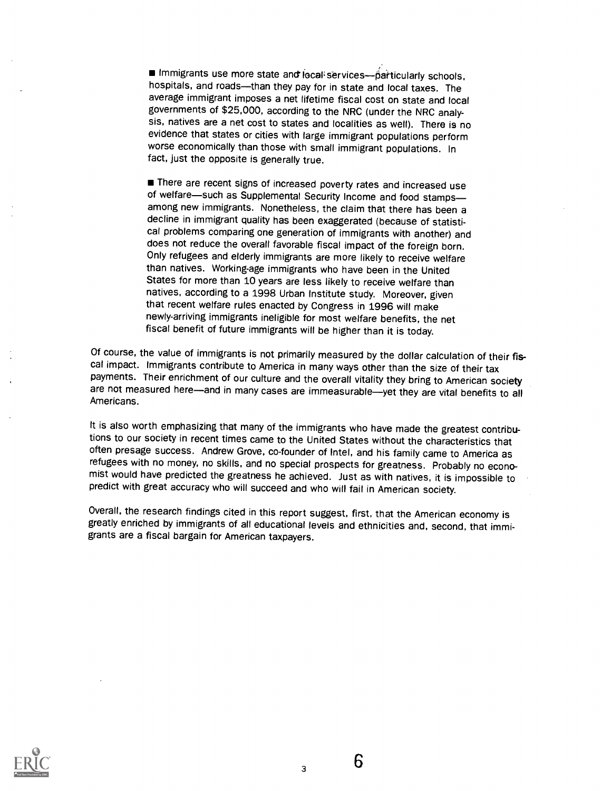Immigrants use more state and local services--particularly schools, hospitals, and roads-than they pay for in state and local taxes. The average immigrant imposes a net lifetime fiscal cost on state and local governments of \$25,000, according to the NRC (under the NRC analysis, natives are a net cost to states and localities as well). There is no evidence that states or cities with large immigrant populations perform worse economically than those with small immigrant populations. In fact, just the opposite is generally true.

**There are recent signs of increased poverty rates and increased use** of welfare-such as Supplemental Security Income and food stampsamong new immigrants. Nonetheless, the claim that there has been a decline in immigrant quality has been exaggerated (because of statistical problems comparing one generation of immigrants with another) and does not reduce the overall favorable fiscal impact of the foreign born. Only refugees and elderly immigrants are more likely to receive welfare than natives. Working-age immigrants who have been in the United States for more than 10 years are less likely to receive welfare than natives, according to a 1998 Urban Institute study. Moreover, given that recent welfare rules enacted by Congress in 1996 will make newly-arriving immigrants ineligible for most welfare benefits, the net fiscal benefit of future immigrants will be higher than it is today.

Of course, the value of immigrants is not primarily measured by the dollar calculation of their fiscal impact. Immigrants contribute to America in many ways other than the size of their tax<br>payments. Their enrichment of our culture and the overall vitality they bring to American society are not measured here—and in many cases are immeasurable—yet they are vital benefits to all Americans.

It is also worth emphasizing that many of the immigrants who have made the greatest contributions to our society in recent times came to the United States without the characteristics that often presage success. Andrew Grove, co-founder of Intel, and his family came to America as<br>refugees with no money, no skills, and no special prospects for greatness. Probably no economist would have predicted the greatness he achieved. Just as with natives, it is impossible to predict with great accuracy who will succeed and who will fail in American society.

Overall, the research findings cited in this report suggest, first, that the American economy is greatly enriched by immigrants of all educational levels and ethnicities and, second, that immigrants are a fiscal bargain for American taxpayers.

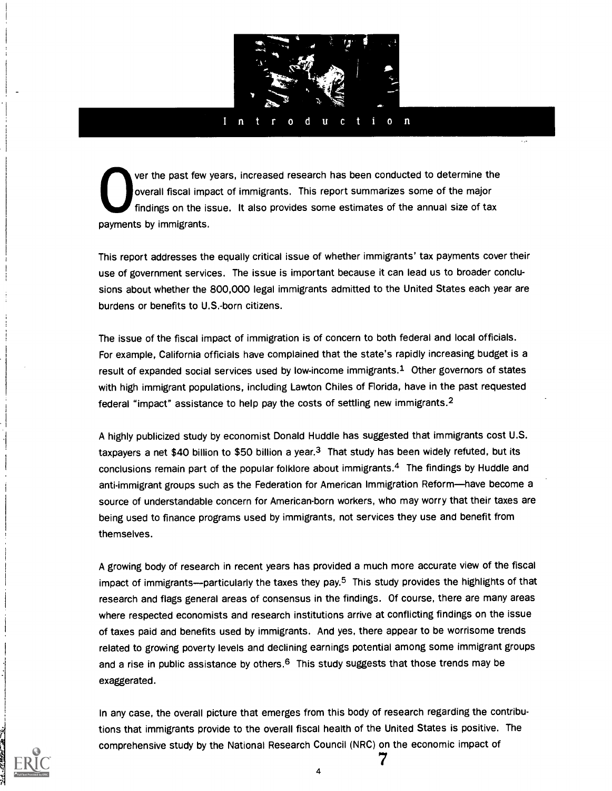

#### $l - n$ d i.  $\mathbf{O}$  $\mathbf n$

ver the past few years, increased research has been conducted to determine the overall fiscal impact of immigrants. This report summarizes some of the major findings on the issue. It also provides some estimates of the annual size of tax payments by immigrants.

This report addresses the equally critical issue of whether immigrants' tax payments cover their use of government services. The issue is important because it can lead us to broader conclusions about whether the 800,000 legal immigrants admitted to the United States each year are burdens or benefits to U.S.-born citizens.

The issue of the fiscal impact of immigration is of concern to both federal and local officials. For example, California officials have complained that the state's rapidly increasing budget is a result of expanded social services used by low-income immigrants.1 Other governors of states with high immigrant populations, including Lawton Chiles of Florida, have in the past requested federal "impact" assistance to help pay the costs of settling new immigrants.2

A highly publicized study by economist Donald Huddle has suggested that immigrants cost U.S. taxpayers a net \$40 billion to \$50 billion a year. $3$  That study has been widely refuted, but its conclusions remain part of the popular folklore about immigrants.4 The findings by Huddle and anti-immigrant groups such as the Federation for American Immigration Reform-have become a source of understandable concern for American-born workers, who may worry that their taxes are being used to finance programs used by immigrants, not services they use and benefit from themselves.

A growing body of research in recent years has provided a much more accurate view of the fiscal impact of immigrants—particularly the taxes they pay.<sup>5</sup> This study provides the highlights of that research and flags general areas of consensus in the findings. Of course, there are many areas where respected economists and research institutions arrive at conflicting findings on the issue of taxes paid and benefits used by immigrants. And yes, there appear to be worrisome trends related to growing poverty levels and declining earnings potential among some immigrant groups and a rise in public assistance by others. $6$  This study suggests that those trends may be exaggerated.

In any case, the overall picture that emerges from this body of research regarding the contributions that immigrants provide to the overall fiscal health of the United States is positive. The comprehensive study by the National Research Council (NRC) on the economic impact of

4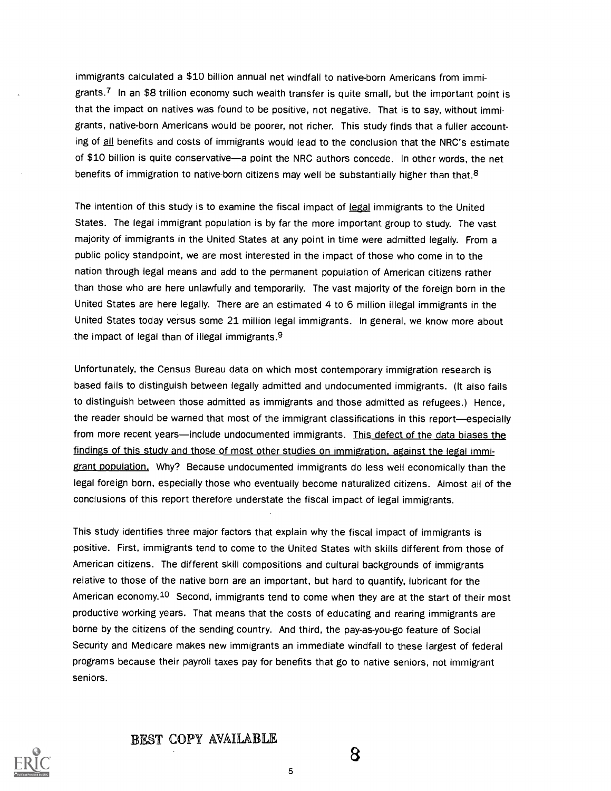immigrants calculated a \$10 billion annual net windfall to native-born Americans from immigrants.<sup>7</sup> In an \$8 trillion economy such wealth transfer is quite small, but the important point is that the impact on natives was found to be positive, not negative. That is to say, without immigrants, native-born Americans would be poorer, not richer. This study finds that a fuller accounting of all benefits and costs of immigrants would lead to the conclusion that the NRC's estimate of \$10 billion is quite conservative—a point the NRC authors concede. In other words, the net benefits of immigration to native-born citizens may well be substantially higher than that.<sup>8</sup>

The intention of this study is to examine the fiscal impact of legal immigrants to the United States. The legal immigrant population is by far the more important group to study. The vast majority of immigrants in the United States at any point in time were admitted legally. From a public policy standpoint, we are most interested in the impact of those who come in to the nation through legal means and add to the permanent population of American citizens rather than those who are here unlawfully and temporarily. The vast majority of the foreign born in the United States are here legally. There are an estimated 4 to 6 million illegal immigrants in the United States today versus some 21 million legal immigrants. In general, we know more about the impact of legal than of illegal immigrants. $9$ 

Unfortunately, the Census Bureau data on which most contemporary immigration research is based fails to distinguish between legally admitted and undocumented immigrants. (It also fails to distinguish between those admitted as immigrants and those admitted as refugees.) Hence, the reader should be warned that most of the immigrant classifications in this report-especially from more recent years—include undocumented immigrants. This defect of the data biases the findings of this study and those of most other studies on immigration, against the legal immigrant population. Why? Because undocumented immigrants do less well economically than the legal foreign born, especially those who eventually become naturalized citizens. Almost all of the conclusions of this report therefore understate the fiscal impact of legal immigrants.

This study identifies three major factors that explain why the fiscal impact of immigrants is positive. First, immigrants tend to come to the United States with skills different from those of American citizens. The different skill compositions and cultural backgrounds of immigrants relative to those of the native born are an important, but hard to quantify, lubricant for the American economy.10 Second, immigrants tend to come when they are at the start of their most productive working years. That means that the costs of educating and rearing immigrants are borne by the citizens of the sending country. And third, the pay-as-you-go feature of Social Security and Medicare makes new immigrants an immediate windfall to these largest of federal programs because their payroll taxes pay for benefits that go to native seniors, not immigrant seniors.





5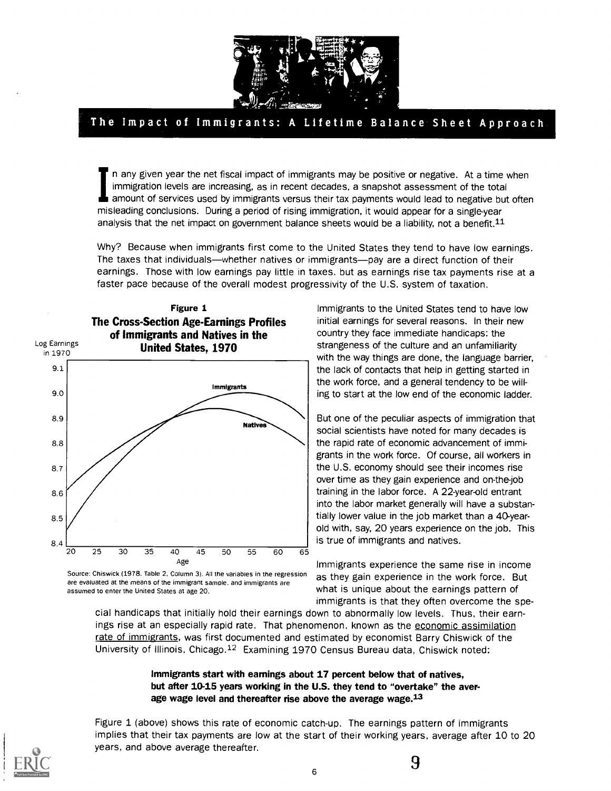

## The Impact of Immigrants: A Lifetime Balance Sheet Approach

In any given year the net fiscal impact of immigrants may be positive or negative. At a time when immigration levels are increasing, as in recent decades, a snapshot assessment of the total amount of services used by immigrants versus their tax payments would lead to negative but often misleading conclusions. During a period of rising immigration, it would appear for a single-year analysis that the net impact on government balance sheets would be a liability, not a benefit.<sup>11</sup>

Why? Because when immigrants first come to the United States they tend to have low earnings. The taxes that individuals—whether natives or immigrants—pay are a direct function of their earnings. Those with low earnings pay little in taxes. but as earnings rise tax payments rise at a faster pace because of the overall modest progressivity of the U.S. system of taxation.



Source: Chiswick (1978. Table 2, Column 3). All the variables in the regression are evaluated at the means of the immigrant sample, and immigrants are assumed to enter the United States at age 20.

Immigrants to the United States tend to have low initial earnings for several reasons. In their new country they face immediate handicaps: the strangeness of the culture and an unfamiliarity with the way things are done, the language barrier, the lack of contacts that help in getting started in the work force, and a general tendency to be willing to start at the low end of the economic ladder.

But one of the peculiar aspects of immigration that social scientists have noted for many decades is the rapid rate of economic advancement of immigrants in the work force. Of course, all workers in the U.S. economy should see their incomes rise over time as they gain experience and on-the-job training in the labor force. A 22-year-old entrant into the labor market generally will have a substantially lower value in the job market than a 40-yearold with, say, 20 years experience on the job. This is true of immigrants and natives.

Immigrants experience the same rise in income as they gain experience in the work force. But what is unique about the earnings pattern of immigrants is that they often overcome the spe-

cial handicaps that initially hold their earnings down to abnormally low levels. Thus, their earnings rise at an especially rapid rate. That phenomenon, known as the economic assimilation rate of immigrants, was first documented and estimated by economist Barry Chiswick of the University of Illinois, Chicago.12 Examining 1970 Census Bureau data, Chiswick noted:

## Immigrants start with earnings about 17 percent below that of natives, but after 10-15 years working in the U.S. they tend to "overtake" the average wage level and thereafter rise above the average wage.<sup>13</sup>

Figure 1 (above) shows this rate of economic catch-up. The earnings pattern of immigrants implies that their tax payments are low at the start of their working years, average after 10 to 20 years, and above average thereafter.



 $\overline{\phantom{0}}$   $\overline{\phantom{0}}$  9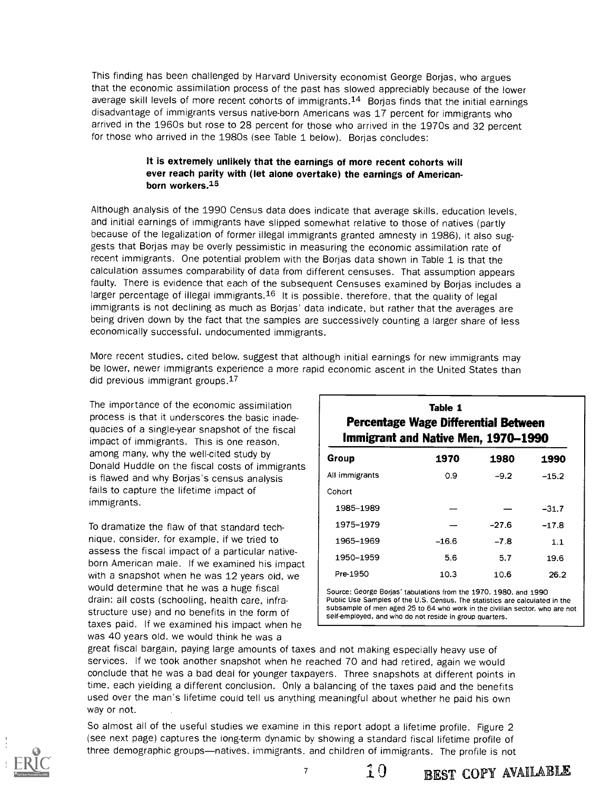This finding has been challenged by Harvard University economist George Borjas, who argues that the economic assimilation process of the past has slowed appreciably because of the lower average skill levels of more recent cohorts of immigrants.<sup>14</sup> Borjas finds that the initial earnings disadvantage of immigrants versus native-born Americans was 17 percent for immigrants who arrived in the 1960s but rose to 28 percent for those who arrived in the 1970s and 32 percent for those who arrived in the 1980s (see Table 1 below). Borjas concludes:

## It is extremely unlikely that the earnings of more recent cohorts will ever reach parity with (let alone overtake) the earnings of Americanborn workers.15

Although analysis of the 1990 Census data does indicate that average skills, education levels, and initial earnings of immigrants have slipped somewhat relative to those of natives (partly because of the legalization of former illegal immigrants granted amnesty in 1986), it also suggests that Borjas may be overly pessimistic in measuring the economic assimilation rate of recent immigrants. One potential problem with the Borjas data shown in Table 1 is that the calculation assumes comparability of data from different censuses. That assumption appears faulty. There is evidence that each of the subsequent Censuses examined by Borjas includes a larger percentage of illegal immigrants.<sup>16</sup> It is possible, therefore, that the quality of legal immigrants is not declining as much as Borjas' data indicate, but rather that the averages are being driven down by the fact that the samples are successively counting a larger share of less economically successful, undocumented immigrants.

More recent studies, cited below, suggest that although initial earnings for new immigrants may be lower, newer immigrants experience a more rapid economic ascent in the United States than did previous immigrant groups.17

The importance of the economic assimilation process is that it underscores the basic inadequacies of a single-year snapshot of the fiscal impact of immigrants. This is one reason, among many, why the well-cited study by Donald Huddle on the fiscal costs of immigrants is flawed and why Borjas's census analysis fails to capture the lifetime impact of immigrants.

To dramatize the flaw of that standard technique, consider. for example, if we tried to assess the fiscal impact of a particular nativeborn American male. If we examined his impact with a snapshot when he was 12 years old, we would determine that he was a huge fiscal drain: all costs (schooling, health care, infrastructure use) and no benefits in the form of taxes paid. If we examined his impact when he was 40 years old, we would think he was a

|                                                                             | Table 1 |         |         |  |  |  |
|-----------------------------------------------------------------------------|---------|---------|---------|--|--|--|
| Percentage Wage Differential Between<br>Immigrant and Native Men, 1970–1990 |         |         |         |  |  |  |
| Group                                                                       | 1970    | 1980    | 1990    |  |  |  |
| All immigrants                                                              | 0.9     | $-9.2$  | $-15.2$ |  |  |  |
| Cohort                                                                      |         |         |         |  |  |  |
| 1985-1989                                                                   |         |         | $-31.7$ |  |  |  |
| 1975-1979                                                                   |         | $-27.6$ | $-17.8$ |  |  |  |
| 1965–1969                                                                   | $-16.6$ | $-7.8$  | 1.1     |  |  |  |
| 1950-1959                                                                   | 5.6     | 5.7     | 19.6    |  |  |  |
| Pre-1950                                                                    | 10.3    | 10.6    | 26.2    |  |  |  |
|                                                                             |         |         |         |  |  |  |

Source: George Borjas' tabulations from the 1970, 1980, and 1990 Public Use Samples of the U.S. Census. The statistics are calculated in the subsample of men aged 25 to 64 who work in the civilian sector, who are not self-employed, and who do not reside in group quarters.

great fiscal bargain, paying large amounts of taxes and not making especially heavy use of services. If we took another snapshot when he reached 70 and had retired, again we would conclude that he was a bad deal for younger taxpayers. Three snapshots at different points in time, each yielding a different conclusion. Only a balancing of the taxes paid and the benefits used over the man's lifetime could tell us anything meaningful about whether he paid his own way or not.

So almost all of the useful studies we examine in this report adopt a lifetime profile. Figure 2 (see next page) captures the long-term dynamic by showing a standard fiscal lifetime profile of three demographic groups—natives. immigrants, and children of immigrants. The profile is not



10 BEST COPY AVAILABLE

 $\overline{7}$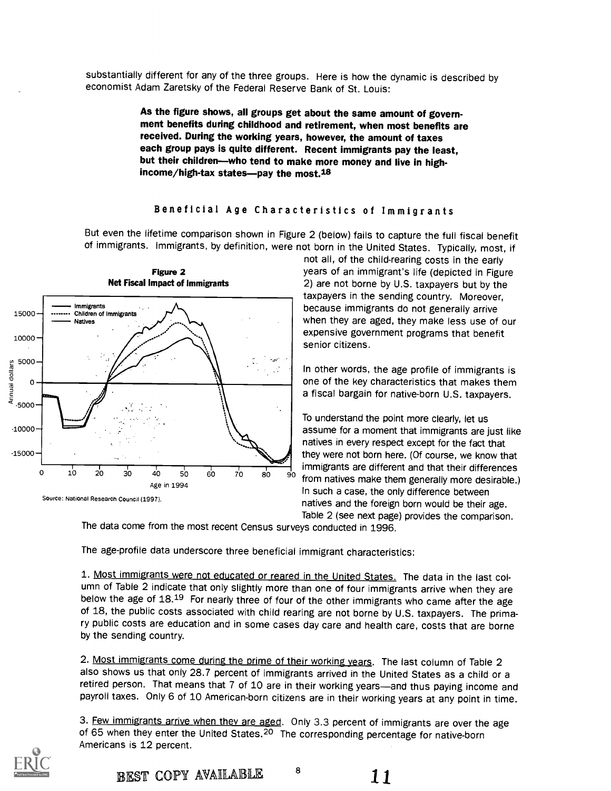substantially different for any of the three groups. Here is how the dynamic is described by economist Adam Zaretsky of the Federal Reserve Bank of St. Louis:

> As the figure shows, all groups get about the same amount of government benefits during childhood and retirement, when most benefits are received. During the working years, however, the amount of taxes each group pays is quite different. Recent immigrants pay the least, but their children—who tend to make more money and live in highincome/high-tax states-pay the most. $18$

## Beneficial Age Characteristics of Immigrants

But even the lifetime comparison shown in Figure 2 (below) fails to capture the full fiscal benefit of immigrants. Immigrants, by definition, were not born in the United States. Typically, most, if

senior citizens.



Figure 2

years of an immigrant's life (depicted in Figure 2) are not borne by U.S. taxpayers but by the taxpayers in the sending country. Moreover, because immigrants do not generally arrive when they are aged, they make less use of our expensive government programs that benefit

not all, of the child-rearing costs in the early

In other words, the age profile of immigrants is one of the key characteristics that makes them a fiscal bargain for native-born U.S. taxpayers.

To understand the point more clearly, let us assume for a moment that immigrants are just like natives in every respect except for the fact that they were not born here. (Of course, we know that immigrants are different and that their differences from natives make them generally more desirable.) In such a case, the only difference between natives and the foreign born would be their age. Table 2 (see next page) provides the comparison.

The data come from the most recent Census surveys conducted in 1996.

The age-profile data underscore three beneficial immigrant characteristics:

1. Most immigrants were not educated or reared in the United States. The data in the last column of Table 2 indicate that only slightly more than one of four immigrants arrive when they are below the age of 18.19 For nearly three of four of the other immigrants who came after the age of 18, the public costs associated with child rearing are not borne by U.S. taxpayers. The primary public costs are education and in some cases day care and health care, costs that are borne by the sending country.

2. Most immigrants come during the prime of their working years. The last column of Table 2 also shows us that only 28.7 percent of immigrants arrived in the United States as a child or a retired person. That means that 7 of 10 are in their working years—and thus paying income and payroll taxes. Only 6 of 10 American-born citizens are in their working years at any point in time.

3. Few immigrants arrive when they are aged. Only 3.3 percent of immigrants are over the age of 65 when they enter the United States.<sup>20</sup> The corresponding percentage for native-born Americans is 12 percent.



BEST COPY AVAILABLE <sup>8</sup>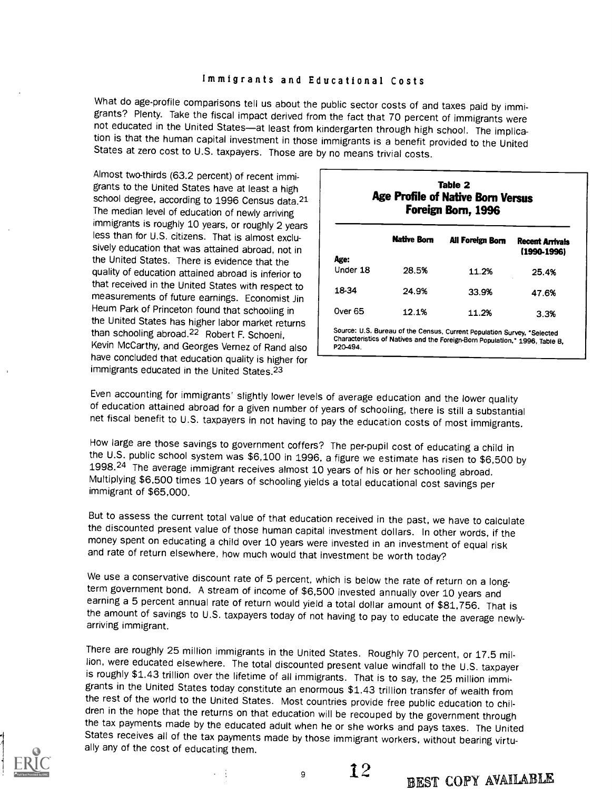## Immigrants and Educational Costs

What do age-profile comparisons tell us about the public sector costs of and taxes paid by immigrants.<br>grants? Plenty. Take the fiscal impact derived from the fact that 70 percent of immigrants were not educated in the United States-at least from kindergarten through high school. The implication is that the human capital investment in those immigrants is a benefit provided to the United States at zero cost to U.S. taxpayers. Those are by no means trivial costs.

Almost two-thirds (63.2 percent) of recent immigrants to the United States have at least a high school degree, according to 1996 Census data.<sup>21</sup> The median level of education of newly arriving immigrants is roughly 10 years, or roughly 2 years less than for U.S. citizens. That is almost exclusively education that was attained abroad, not in the United States. There is evidence that the quality of education attained abroad is inferior to that received in the United States with respect to measurements of future earnings. Economist Jin Heum Park of Princeton found that schooling in the United States has higher labor market returns than schooling abroad.22 Robert F. Schoeni, Kevin McCarthy, and Georges Vernez of Rand also have concluded that education quality is higher for immigrants educated in the United States.23

|                  | <b>Native Born</b> | All Foreign Born | <b>Recent Arrivals</b><br>(1990-1996) |
|------------------|--------------------|------------------|---------------------------------------|
| Age:<br>Under 18 | 28.5%              | 11.2%            | 25.4%                                 |
| 18-34            | 24.9%              | 33.9%            | 47.6%                                 |
| Over 65          | 12.1%              | 11.2%            | 3.3%                                  |

Table 2

Even accounting for immigrants' slightly lower levels of average education and the lower quality of education attained abroad for a given number of years of schooling, there is still a substantial net fiscal benefit to U.S

P20-494.

How large are those savings to government coffers? The per-pupil cost of educating a child in the U.S. public school system was \$6,100 in 1996, a figure we estimate has risen to \$6,500 by 1998.<sup>24</sup> The average immigrant receives almost 10 years of his or her schooling abroad.<br>Multiplying \$6,500 times 10 years of schooling yields a total educational cost savings per immigrant of \$65.000.

But to assess the current total value of that education received in the past, we have to calculate<br>the discounted present value of those human capital investment dollars. In other words, if the money spent on educating a child over 10 years were invested in an investment of equal risk<br>and rate of return elsewhere, how much would that investment be worth today?

We use a conservative discount rate of 5 percent, which is below the rate of return on a long-<br>term government bond. A stream of income of \$6,500 invested annually over 10 years and earning a 5 percent annual rate of return would yield a total dollar amount of \$81,756. That is the amount of savings to U.S. taxpayers today of not having to pay to educate the average newly- arriving immigrant.

There are roughly 25 million immigrants in the United States. Roughly 70 percent, or 17.5 million, were educated elsewhere. The total discounted present value windfall to the U.S. taxpayer<br>is roughly \$1.43 trillion over the lifetime of all immigrants. That is to say, the 25 million immigrants in the United States today constitute an enormous \$1.43 trillion transfer of wealth from<br>the rest of the world to the United States. Most countries provide free public education to children in the hope that the returns on that education will be recouped by the government through<br>the tax payments made by the educated adult when he or she works and pays taxes. The United States receives all of the tax payments made by those immigrant workers, without bearing virtually any of the cost of educating them.



よう 全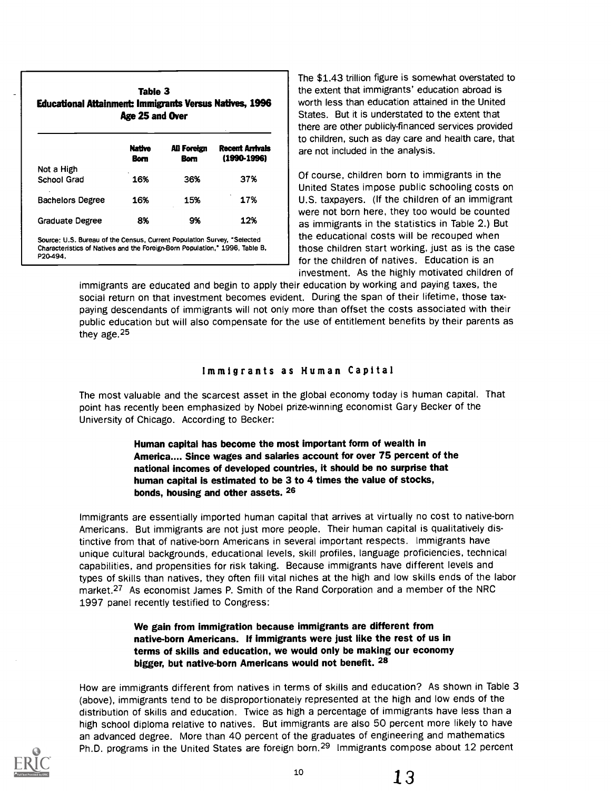| <b>Educational Attainment: Immigrants Versus Natives, 1996</b>              | Table 3<br>Age 25 and Over |                            |                                    | ine t<br>the e<br>worth<br>State<br>there |
|-----------------------------------------------------------------------------|----------------------------|----------------------------|------------------------------------|-------------------------------------------|
|                                                                             | <b>Native</b><br>Bom       | All Foreign<br><b>Born</b> | Recent Arrivals<br>$(1990 - 1996)$ | to chi<br>are n                           |
| Not a High<br>School Grad                                                   | 16%                        | 36%                        | 37%                                | Of co                                     |
|                                                                             |                            |                            |                                    | Unite                                     |
| <b>Bachelors Degree</b>                                                     | 16%                        | 15%                        | 17%                                | U.S.                                      |
| <b>Graduate Degree</b>                                                      | 8%                         | 9%                         | 12%                                | were<br>as im                             |
| Source: U.S. Bureau of the Census, Current Population Survey, "Selected     |                            |                            |                                    | the e                                     |
| Characteristics of Natives and the Foreign-Born Population," 1996, Table B, |                            |                            |                                    | those                                     |
| P20-494.                                                                    |                            |                            |                                    | for th                                    |

The \$1.43 trillion figure is somewhat overstated to the extent that immigrants' education abroad is worth less than education attained in the United States. But it is understated to the extent that there are other publicly-financed services provided to children, such as day care and health care, that are not included in the analysis.

Of course, children born to immigrants in the United States impose public schooling costs on U.S. taxpayers. (If the children of an immigrant were not born here, they too would be counted as immigrants in the statistics in Table 2.) But the educational costs will be recouped when those children start working, just as is the case for the children of natives. Education is an investment. As the highly motivated children of

immigrants are educated and begin to apply their education by working and paying taxes, the social return on that investment becomes evident. During the span of their lifetime, those taxpaying descendants of immigrants will not only more than offset the costs associated with their public education but will also compensate for the use of entitlement benefits by their parents as they age.<sup>25</sup>

## Immigrants as Human Capital

The most valuable and the scarcest asset in the global economy today is human capital. That point has recently been emphasized by Nobel prize-winning economist Gary Becker of the University of Chicago. According to Becker:

> Human capital has become the most important form of wealth in America.... Since wages and salaries account for over 75 percent of the national incomes of developed countries, it should be no surprise that human capital is estimated to be 3 to 4 times the value of stocks, bonds, housing and other assets. 26

Immigrants are essentially imported human capital that arrives at virtually no cost to native-born Americans. But immigrants are not just more people. Their human capital is qualitatively distinctive from that of native-born Americans in several important respects. Immigrants have unique cultural backgrounds, educational levels, skill profiles, language proficiencies, technical capabilities, and propensities for risk taking. Because immigrants have different levels and types of skills than natives, they often fill vital niches at the high and low skills ends of the labor market.27 As economist James P. Smith of the Rand Corporation and a member of the NRC 1997 panel recently testified to Congress:

> We gain from immigration because immigrants are different from native-born Americans. If immigrants were just like the rest of us in terms of skills and education, we would only be making our economy bigger, but native-born Americans would not benefit. <sup>28</sup>

How are immigrants different from natives in terms of skills and education? As shown in Table 3 (above), immigrants tend to be disproportionately represented at the high and low ends of the distribution of skills and education. Twice as high a percentage of immigrants have less than a high school diploma relative to natives. But immigrants are also 50 percent more likely to have an advanced degree. More than 40 percent of the graduates of engineering and mathematics Ph.D. programs in the United States are foreign born.<sup>29</sup> Immigrants compose about 12 percent

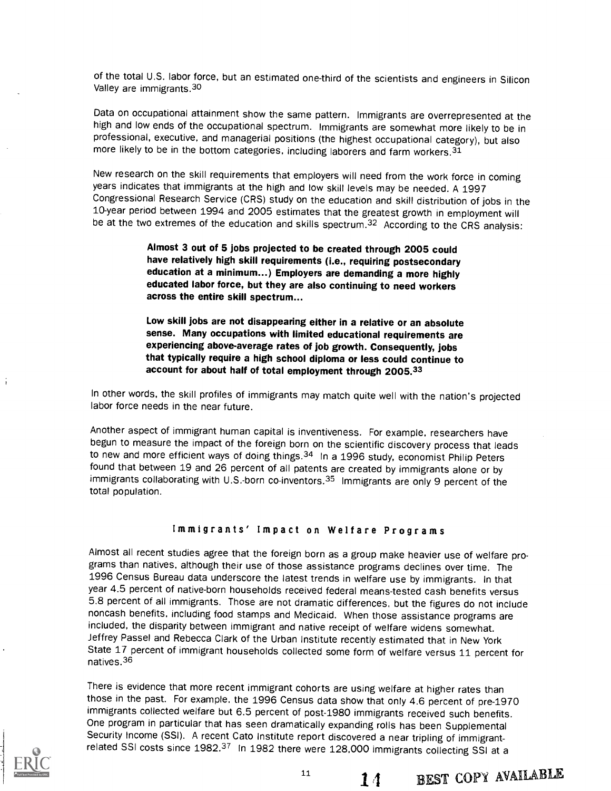of the total U.S. labor force, but an estimated one-third of the scientists and engineers in Silicon Valley are immigrants.<sup>30</sup>

Data on occupational attainment show the same pattern. Immigrants are overrepresented at the high and low ends of the occupational spectrum. Immigrants are somewhat more likely to be in professional, executive, and managerial positions (the highest occupational category), but also more likely to be in the bottom categories, including laborers and farm workers.31

New research on the skill requirements that employers will need from the work force in coming years indicates that immigrants at the high and low skill levels may be needed. A 1997 Congressional Research Service (CRS) study on the education and skill distribution of jobs in the 10-year period between 1994 and 2005 estimates that the greatest growth in employment will be at the two extremes of the education and skills spectrum.<sup>32</sup> According to the CRS analysis:

> Almost 3 out of 5 jobs projected to be created through 2005 could have relatively high skill requirements (i.e., requiring postsecondary education at a minimum...) Employers are demanding a more highly educated labor force, but they are also continuing to need workers across the entire skill spectrum...

Low skill jobs are not disappearing either in a relative or an absolute sense. Many occupations with limited educational requirements are experiencing above-average rates of job growth. Consequently, jobs that typically require a high school diploma or less could continue to account for about half of total employment through 2005.33

In other words, the skill profiles of immigrants may match quite well with the nation's projected labor force needs in the near future.

Another aspect of immigrant human capital is inventiveness. For example, researchers have begun to measure the impact of the foreign born on the scientific discovery process that leads to new and more efficient ways of doing things.<sup>34</sup> In a 1996 study, economist Philip Peters found that between 19 and 26 percent of all patents are created by immigrants alone or by immigrants collaborating with U.S.-born co-inventors.<sup>35</sup> Immigrants are only 9 percent of the total population.

## Immigrants' Impact on Welfare Programs

Almost all recent studies agree that the foreign born as a group make heavier use of welfare programs than natives, although their use of those assistance programs declines over time. The 1996 Census Bureau data underscore the latest trends in welfare use by immigrants. In that year 4.5 percent of native-born households received federal means-tested cash benefits versus 5.8 percent of all immigrants. Those are not dramatic differences, but the figures do not include noncash benefits, including food stamps and Medicaid. When those assistance programs are included, the disparity between immigrant and native receipt of welfare widens somewhat. Jeffrey Passel and Rebecca Clark of the Urban Institute recently estimated that in New York State 17 percent of immigrant households collected some form of welfare versus 11 percent for natives.<sup>36</sup>

There is evidence that more recent immigrant cohorts are using welfare at higher rates than those in the past. For example. the 1996 Census data show that only 4.6 percent of pre-1970 immigrants collected welfare but 6.5 percent of post-1980 immigrants received such benefits. One program in particular that has seen dramatically expanding rolls has been Supplemental Security Income (SSI). A recent Cato Institute report discovered a near tripling of immigrantrelated SSI costs since 1982.<sup>37</sup> In 1982 there were 128,000 immigrants collecting SSI at a



14 BEST COPY AVAILABLE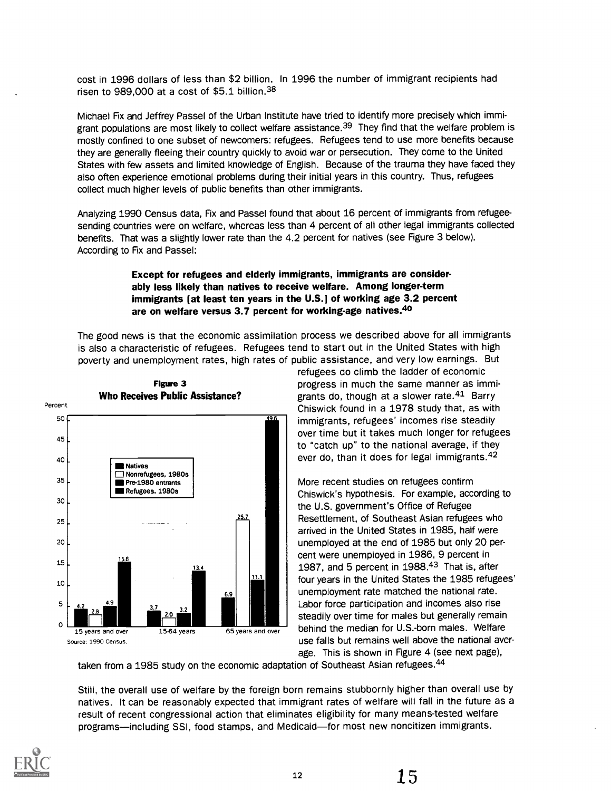cost in 1996 dollars of less than \$2 billion. In 1996 the number of immigrant recipients had risen to 989,000 at a cost of \$5.1 billion.38

Michael Fix and Jeffrey Passel of the Urban Institute have tried to identify more precisely which immigrant populations are most likely to collect welfare assistance.<sup>39</sup> They find that the welfare problem is mostly confined to one subset of newcomers: refugees. Refugees tend to use more benefits because they are generally fleeing their country quickly to avoid war or persecution. They come to the United States with few assets and limited knowledge of English. Because of the trauma they have faced they also often experience emotional problems during their initial years in this country. Thus, refugees collect much higher levels of public benefits than other immigrants.

Analyzing 1990 Census data, Fix and Passel found that about 16 percent of immigrants from refugeesending countries were on welfare, whereas less than 4 percent of all other legal immigrants collected benefits. That was a slightly lower rate than the 4.2 percent for natives (see Figure 3 below). According to Fix and Passel:

## Except for refugees and elderly immigrants, immigrants are considerably less likely than natives to receive welfare. Among longer-term immigrants [at least ten years in the U.S.] of working age 3.2 percent are on welfare versus 3.7 percent for working-age natives.<sup>40</sup>

The good news is that the economic assimilation process we described above for all immigrants is also a characteristic of refugees. Refugees tend to start out in the United States with high poverty and unemployment rates, high rates of public assistance, and very low earnings. But



refugees do climb the ladder of economic progress in much the same manner as immigrants do, though at a slower rate.<sup>41</sup> Barry Chiswick found in a 1978 study that, as with immigrants, refugees' incomes rise steadily over time but it takes much longer for refugees to "catch up" to the national average, if they ever do, than it does for legal immigrants.<sup>42</sup>

More recent studies on refugees confirm Chiswick's hypothesis. For example, according to the U.S. government's Office of Refugee Resettlement, of Southeast Asian refugees who arrived in the United States in 1985, half were unemployed at the end of 1985 but only 20 percent were unemployed in 1986, 9 percent in 1987, and 5 percent in 1988.43 That is, after four years in the United States the 1985 refugees' unemployment rate matched the national rate. Labor force participation and incomes also rise steadily over time for males but generally remain behind the median for U.S.-born males. Welfare use falls but remains well above the national average. This is shown in Figure 4 (see next page),

taken from a 1985 study on the economic adaptation of Southeast Asian refugees.<sup>44</sup>

Still, the overall use of welfare by the foreign born remains stubbornly higher than overall use by natives. It can be reasonably expected that immigrant rates of welfare will fall in the future as a result of recent congressional action that eliminates eligibility for many means-tested welfare programs—including SSI, food stamps, and Medicaid—for most new noncitizen immigrants.



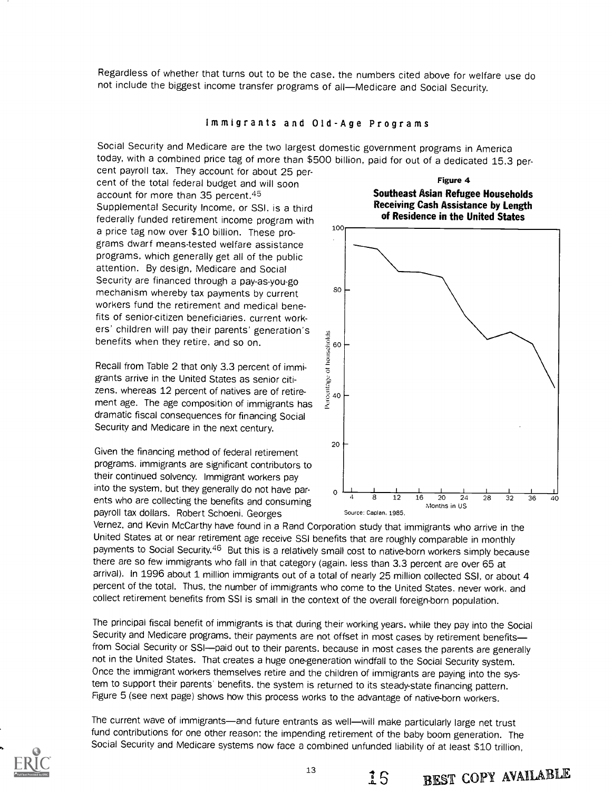Regardless of whether that turns out to be the case, the numbers cited above for welfare use do not include the biggest income transfer programs of all-Medicare and Social Security.

#### Immigrants and Old-Age Programs

Social Security and Medicare are the two largest domestic government programs in America today, with a combined price tag of more than \$500 billion, paid for out of a dedicated 15.3 per-

cent payroll tax. They account for about 25 percent of the total federal budget and will soon account for more than 35 percent.45 Supplemental Security Income, or SSI, is a third federally funded retirement income program with a price tag now over \$10 billion. These programs dwarf means-tested welfare assistance programs. which generally get all of the public attention. By design, Medicare and Social Security are financed through a pay-as-you-go mechanism whereby tax payments by current workers fund the retirement and medical benefits of senior-citizen beneficiaries, current workers' children will pay their parents' generation's benefits when they retire, and so on.

Recall from Table 2 that only 3.3 percent of immigrants arrive in the United States as senior citizens. whereas 12 percent of natives are of retirement age. The age composition of immigrants has dramatic fiscal consequences for financing Social Security and Medicare in the next century.

Given the financing method of federal retirement programs. immigrants are significant contributors to their continued solvency. Immigrant workers pay into the system, but they generally do not have parents who are collecting the benefits and consuming payroll tax dollars. Robert Schoeni. Georges

Figure 4 Southeast Asian Refugee Households Receiving Cash Assistance by Length of Residence in the United States



15 BEST COPY AVAILABLE

Vernez. and Kevin McCarthy have found in a Rand Corporation study that immigrants who arrive in the United States at or near retirement age receive SSI benefits that are roughly comparable in monthly payments to Social Security.<sup>46</sup> But this is a relatively small cost to native-born workers simply because there are so few immigrants who fall in that category (again, less than 3.3 percent are over 65 at arrival). In 1996 about 1 million immigrants out of a total of nearly 25 million collected SSI, or about 4 percent of the total. Thus, the number of immigrants who come to the United States, never work, and collect retirement benefits from SSI is small in the context of the overall foreign-born population.

The principal fiscal benefit of immigrants is that during their working years. while they pay into the Social Security and Medicare programs, their payments are not offset in most cases by retirement benefitsfrom Social Security or SSI-paid out to their parents, because in most cases the parents are generally not in the United States. That creates a huge one-generation windfall to the Social Security system. Once the immigrant workers themselves retire and the children of immigrants are paying into the system to support their parents' benefits. the system is returned to its steady-state financing pattern. Figure 5 (see next page) shows how this process works to the advantage of native-born workers.

The current wave of immigrants—and future entrants as well—will make particularly large net trust fund contributions for one other reason: the impending retirement of the baby boom generation. The Social Security and Medicare systems now face a combined unfunded liability of at least \$10 trillion,

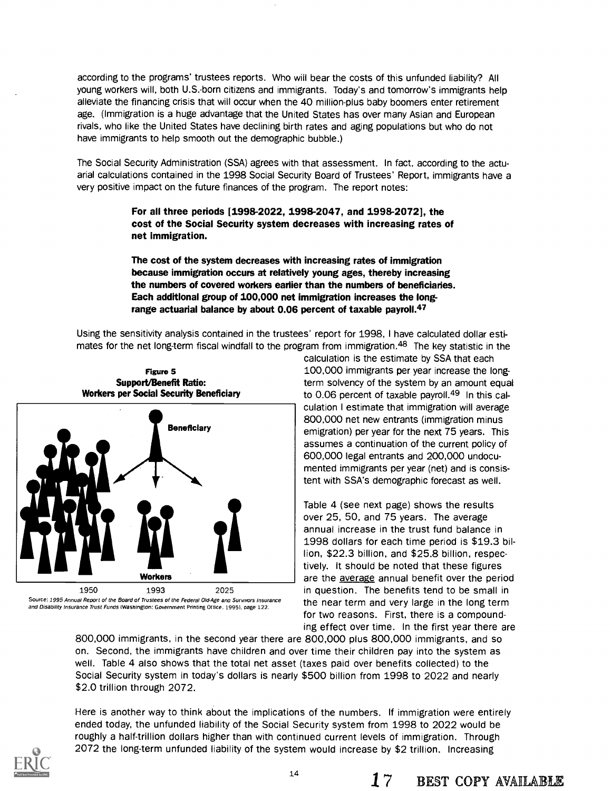according to the programs' trustees reports. Who will bear the costs of this unfunded liability? All young workers will, both U.S.-born citizens and immigrants. Today's and tomorrow's immigrants help alleviate the financing crisis that will occur when the 40 million-plus baby boomers enter retirement age. (Immigration is a huge advantage that the United States has over many Asian and European rivals, who like the United States have declining birth rates and aging populations but who do not have immigrants to help smooth out the demographic bubble.)

The Social Security Administration (SSA) agrees with that assessment. In fact, according to the actuarial calculations contained in the 1998 Social Security Board of Trustees' Report, immigrants have a very positive impact on the future finances of the program. The report notes:

> For all three periods [1998-2022, 1998-2047, and 1998-2072], the cost of the Social Security system decreases with increasing rates of net immigration.

> The cost of the system decreases with increasing rates of immigration because immigration occurs at relatively young ages, thereby increasing the numbers of covered workers earlier than the numbers of beneficiaries. Each additional group of 100,000 net immigration increases the longrange actuarial balance by about 0.06 percent of taxable payroll.<sup>47</sup>

Using the sensitivity analysis contained in the trustees' report for 1998, I have calculated dollar estimates for the net long-term fiscal windfall to the program from immigration.<sup>48</sup> The key statistic in the



Source: 1995 Annual Report of the Board of Trustees of the Federal Old-Age and Surywors Insurance and Disability Insurance Trust Funds (Washington: Government Printing Office. 1995). page 122.

calculation is the estimate by SSA that each 100,000 immigrants per year increase the longterm solvency of the system by an amount equal to 0.06 percent of taxable payroll.<sup>49</sup> In this calculation I estimate that immigration will average 800,000 net new entrants (immigration minus emigration) per year for the next 75 years. This assumes a continuation of the current policy of 600,000 legal entrants and 200,000 undocumented immigrants per year (net) and is consistent with SSA's demographic forecast as well.

Table 4 (see next page) shows the results over 25, 50, and 75 years. The average annual increase in the trust fund balance in 1998 dollars for each time period is \$19.3 billion, \$22.3 billion, and \$25.8 billion, respectively. It should be noted that these figures are the average annual benefit over the period in question. The benefits tend to be small in the near term and very large in the long term for two reasons. First, there is a compounding effect over time. In the first year there are

800,000 immigrants, in the second year there are 800,000 plus 800,000 immigrants, and so on. Second, the immigrants have children and over time their children pay into the system as well. Table 4 also shows that the total net asset (taxes paid over benefits collected) to the Social Security system in today's dollars is nearly \$500 billion from 1998 to 2022 and nearly \$2.0 trillion through 2072.

Here is another way to think about the implications of the numbers. If immigration were entirely ended today, the unfunded liability of the Social Security system from 1998 to 2022 would be roughly a half-trillion dollars higher than with continued current levels of immigration. Through 2072 the long-term unfunded liability of the system would increase by \$2 trillion. Increasing

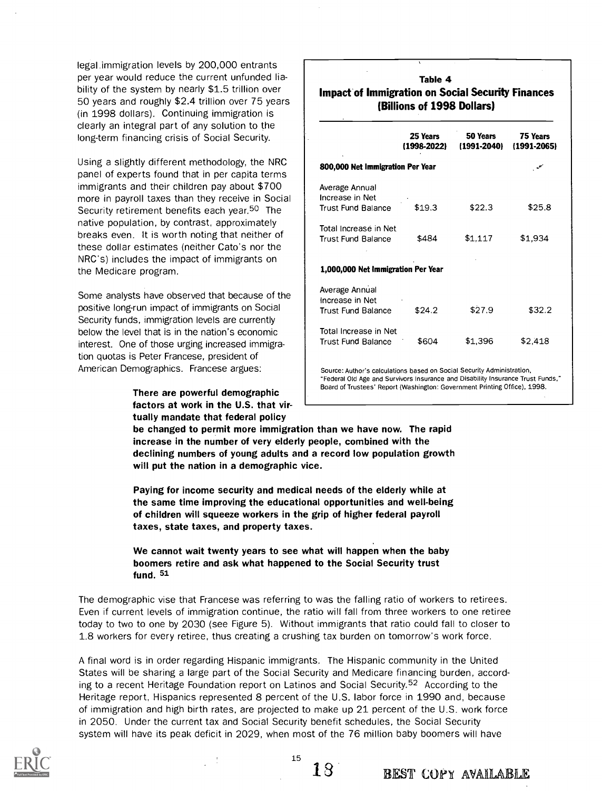legal.immigration levels by 200,000 entrants per year would reduce the current unfunded liability of the system by nearly \$1.5 trillion over 50 years and roughly \$2.4 trillion over 75 years (in 1998 dollars). Continuing immigration is clearly an integral part of any solution to the long-term financing crisis of Social Security.

Using a slightly different methodology, the NRC panel of experts found that in per capita terms immigrants and their children pay about \$700 more in payroll taxes than they receive in Social Security retirement benefits each year.<sup>50</sup> The native population, by contrast, approximately breaks even. It is worth noting that neither of these dollar estimates (neither Cato's nor the NRC's) includes the impact of immigrants on the Medicare program.

Some analysts have observed that because of the positive long-run impact of immigrants on Social Security funds, immigration levels are currently below the level that is in the nation's economic interest. One of those urging increased immigration quotas is Peter Francese, president of American Demographics. Francese argues:

> There are powerful demographic factors at work in the U.S. that virtually mandate that federal policy

## Table 4 Impact of Immigration on Social Security Finances (Billions of 1998 Dollars)

|                                                                        | 25 Years<br>(1998-2022) | 50 Years<br>(1991-2040)                                                                                         | 75 Years<br>$(1991 - 2065)$ |
|------------------------------------------------------------------------|-------------------------|-----------------------------------------------------------------------------------------------------------------|-----------------------------|
| 800,000 Net Immigration Per Year                                       |                         |                                                                                                                 |                             |
| Average Annual<br>Increase in Net                                      |                         |                                                                                                                 |                             |
| <b>Trust Fund Balance</b>                                              | \$19.3                  | \$22.3                                                                                                          | \$25.8                      |
| Total Increase in Net                                                  |                         |                                                                                                                 |                             |
| <b>Trust Fund Balance</b>                                              | \$484                   | \$1.117                                                                                                         | \$1,934                     |
| 1,000,000 Net immigration Per Year                                     |                         |                                                                                                                 |                             |
| Average Annual                                                         |                         |                                                                                                                 |                             |
| Increase in Net<br>Trust Fund Balance                                  | \$24.2                  | \$27.9                                                                                                          | \$32.2                      |
| Total Increase in Net                                                  |                         |                                                                                                                 |                             |
| <b>Trust Fund Balance</b>                                              | \$604                   | \$1,396                                                                                                         | \$2.418                     |
| Source: Author's calculations based on Social Security Administration, |                         | the contract of the contract of the contract of the contract of the contract of the contract of the contract of |                             |

Federal Old Age and Survivors Insurance and Disability Insurance Trust Funds, Board of Trustees' Report (Washington: Government Printing Office), 1998.

be changed to permit more immigration than we have now. The rapid increase in the number of very elderly people, combined with the declining numbers of young adults and a record low population growth will put the nation in a demographic vice.

Paying for income security and medical needs of the elderly while at the same time improving the educational opportunities and well-being of children will squeeze workers in the grip of higher federal payroll taxes, state taxes, and property taxes.

## We cannot wait twenty years to see what will happen when the baby boomers retire and ask what happened to the Social Security trust fund. 51

The demographic vise that Francese was referring to was the falling ratio of workers to retirees. Even if current levels of immigration continue, the ratio will fall from three workers to one retiree today to two to one by 2030 (see Figure 5). Without immigrants that ratio could fall to closer to 1.8 workers for every retiree, thus creating a crushing tax burden on tomorrow's work force.

A final word is in order regarding Hispanic immigrants. The Hispanic community in the United States will be sharing a large part of the Social Security and Medicare financing burden, according to a recent Heritage Foundation report on Latinos and Social Security.<sup>52</sup> According to the Heritage report, Hispanics represented 8 percent of the U.S. labor force in 1990 and, because of immigration and high birth rates, are projected to make up 21 percent of the U.S. work force in 2050. Under the current tax and Social Security benefit schedules, the Social Security system will have its peak deficit in 2029, when most of the 76 million baby boomers will have

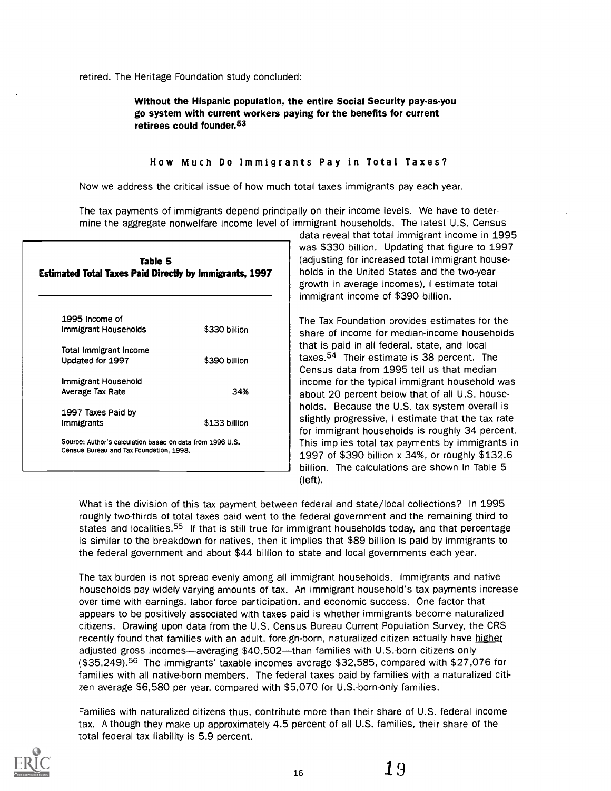## Without the Hispanic population, the entire Social Security pay-as-you go system with current workers paying for the benefits for current retirees could founder.53

#### How Much Do Immigrants Pay in Total Taxes?

Now we address the critical issue of how much total taxes immigrants pay each year.

The tax payments of immigrants depend principally on their income levels. We have to determine the aggregate nonwelfare income level of immigrant households. The latest U.S. Census

| Table 5<br><b>Estimated Total Taxes Paid Directly by Immigrants, 1997</b>                            |               |
|------------------------------------------------------------------------------------------------------|---------------|
| 1995 Income of                                                                                       |               |
| Immigrant Households                                                                                 | \$330 billion |
| Total Immigrant Income                                                                               |               |
| Updated for 1997                                                                                     | \$390 billion |
| Immigrant Household                                                                                  |               |
| Average Tax Rate                                                                                     | 34%           |
| 1997 Taxes Paid by                                                                                   |               |
| Immigrants                                                                                           | \$133 billion |
| Source: Author's calculation based on data from 1996 U.S.<br>Census Bureau and Tax Foundation, 1998. |               |
|                                                                                                      |               |

data reveal that total immigrant income in 1995 was \$330 billion. Updating that figure to 1997 (adjusting for increased total immigrant households in the United States and the two-year growth in average incomes), I estimate total immigrant income of \$390 billion.

The Tax Foundation provides estimates for the share of income for median-income households that is paid in all federal, state, and local taxes.54 Their estimate is 38 percent. The Census data from 1995 tell us that median income for the typical immigrant household was about 20 percent below that of all U.S. households. Because the U.S. tax system overall is slightly progressive, I estimate that the tax rate for immigrant households is roughly 34 percent. This implies total tax payments by immigrants in 1997 of \$390 billion x 34%, or roughly \$132.6 billion. The calculations are shown in Table 5 (left).

What is the division of this tax payment between federal and state/local collections? In 1995 roughly two-thirds of total taxes paid went to the federal government and the remaining third to states and localities.<sup>55</sup> If that is still true for immigrant households today, and that percentage is similar to the breakdown for natives, then it implies that \$89 billion is paid by immigrants to the federal government and about \$44 billion to state and local governments each year.

The tax burden is not spread evenly among all immigrant households. Immigrants and native households pay widely varying amounts of tax. An immigrant household's tax payments increase over time with earnings, labor force participation, and economic success. One factor that appears to be positively associated with taxes paid is whether immigrants become naturalized citizens. Drawing upon data from the U.S. Census Bureau Current Population Survey, the CRS recently found that families with an adult, foreign-born, naturalized citizen actually have higher adjusted gross incomes—averaging \$40,502—than families with U.S.-born citizens only (\$35,249).56 The immigrants' taxable incomes average \$32,585, compared with \$27,076 for families with all native-born members. The federal taxes paid by families with a naturalized citizen average \$6,580 per year. compared with \$5,070 for U.S.-born-only families.

Families with naturalized citizens thus, contribute more than their share of U.S. federal income tax. Although they make up approximately 4.5 percent of all U.S. families, their share of the total federal tax liability is 5.9 percent.

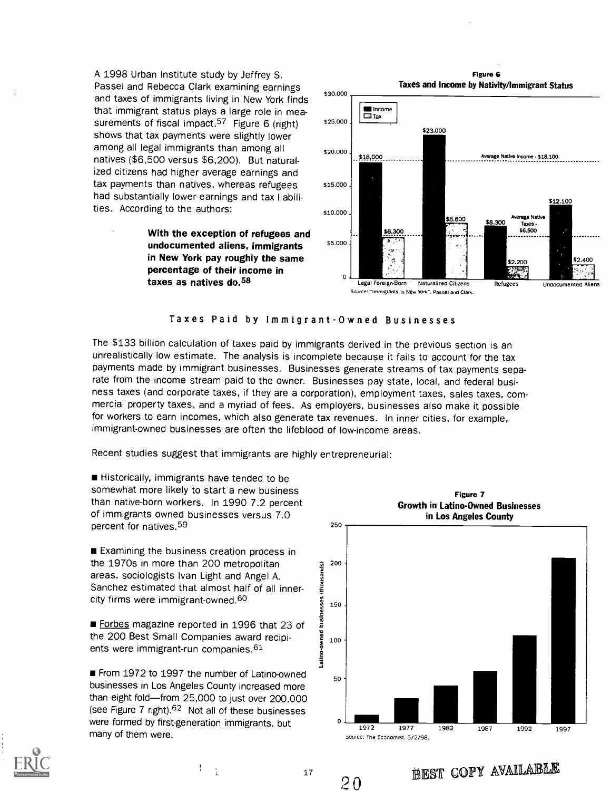A 1998 Urban Institute study by Jeffrey S. Passel and Rebecca Clark examining earnings and taxes of immigrants living in New York finds that immigrant status plays a large role in measurements of fiscal impact.<sup>57</sup> Figure 6 (right) 525.000 shows that tax payments were slightly lower among all legal immigrants than among all natives (\$6,500 versus \$6,200). But naturalized citizens had higher average earnings and tax payments than natives, whereas refugees had substantially lower earnings and tax liabilities. According to the authors:

> With the exception of refugees and<br>undequiremented olions immigrants  $55.000$ undocumented aliens, immigrants in New York pay roughly the same percentage of their income in taxes as natives do.58



#### Taxes Paid by Immigrant-Owned Businesses

The \$133 billion calculation of taxes paid by immigrants derived in the previous section is an unrealistically low estimate. The analysis is incomplete because it fails to account for the tax payments made by immigrant businesses. Businesses generate streams of tax payments separate from the income stream paid to the owner. Businesses pay state, local, and federal business taxes (and corporate taxes, if they are a corporation), employment taxes, sales taxes, commercial property taxes, and a myriad of fees. As employers, businesses also make it possible for workers to earn incomes, which also generate tax revenues. In inner cities, for example, immigrant-owned businesses are often the lifeblood of low-income areas.

Recent studies suggest that immigrants are highly entrepreneurial:

**Historically, immigrants have tended to be** somewhat more likely to start a new business than native-born workers. In 1990 7.2 percent of immigrants owned businesses versus 7.0 percent for natives.59

**Examining the business creation process in** the 1970s in more than 200 metropolitan areas. sociologists Ivan Light and Angel A.<br>Sanchez estimated that almost half of all innerareas. sociologists Ivan Light and Angel A. Sanchez estimated that almost half of all innercity firms were immigrant-owned.60

city firms were immigrant-owned.<sup>60</sup><br>  $\blacksquare$  Forbes magazine reported in 1996 that 23 of<br>
the 200 Best Small Companies award recipients were immigrant-run companies.<sup>61</sup> the 200 Best Small Companies award recipients were immigrant-run companies.<sup>61</sup>

**From 1972 to 1997 the number of Latino-owned** businesses in Los Angeles County increased more than eight fold-from 25,000 to just over 200,000 (see Figure 7 right).<sup>62</sup> Not all of these businesses were formed by first-generation immigrants. but many of them were.





ICR AL S'H EST COPY AVAILABLE

17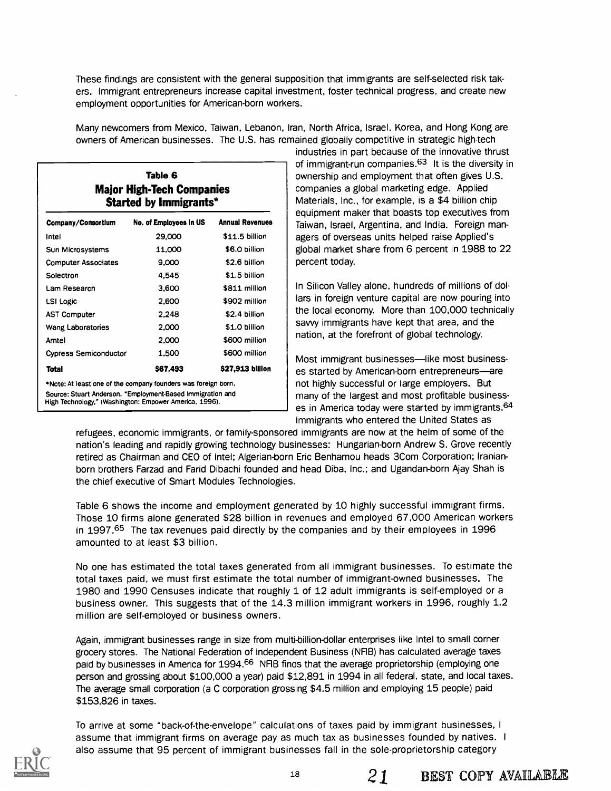These findings are consistent with the general supposition that immigrants are self-selected risk takers. Immigrant entrepreneurs increase capital investment, foster technical progress, and create new employment opportunities for American-born workers.

| Many newcomers from Mexico, Taiwan, Lebanon, Iran, North Africa, Israel, Korea, and Hong Kong are |
|---------------------------------------------------------------------------------------------------|
| owners of American businesses. The U.S. has remained globally competitive in strategic high-tech  |
| inductries in part because of the innovative thrust                                               |

| Table 6<br><b>Major High-Tech Companies</b><br>Started by Immigrants*  |                                                                                                                      |                  |  |  |  |  |
|------------------------------------------------------------------------|----------------------------------------------------------------------------------------------------------------------|------------------|--|--|--|--|
| <b>Annual Revenues</b><br>No. of Employees in US<br>Company/Consortium |                                                                                                                      |                  |  |  |  |  |
| Intel                                                                  | 29,000                                                                                                               | \$11.5 billion   |  |  |  |  |
| Sun Microsystems                                                       | 11.000                                                                                                               | \$6.0 billion    |  |  |  |  |
| <b>Computer Associates</b>                                             | 9.000                                                                                                                | \$2.6 billion    |  |  |  |  |
| Solectron                                                              | 4,545                                                                                                                | \$1.5 billion    |  |  |  |  |
| Lam Research                                                           | 3,600                                                                                                                | \$811 million    |  |  |  |  |
| <b>LSI Logic</b>                                                       | 2,600                                                                                                                | \$902 million    |  |  |  |  |
| <b>AST Computer</b>                                                    | 2,248                                                                                                                | \$2.4 billion    |  |  |  |  |
| <b>Wang Laboratories</b>                                               | 2,000                                                                                                                | \$1.0 billion    |  |  |  |  |
| Amtel                                                                  | 2,000                                                                                                                | \$600 million    |  |  |  |  |
| <b>Cypress Semiconductor</b>                                           | 1.500                                                                                                                | \$600 million    |  |  |  |  |
| Total                                                                  | \$67,493                                                                                                             | \$27,913 billion |  |  |  |  |
|                                                                        | *Note: At least one of the company founders was foreign born.                                                        |                  |  |  |  |  |
|                                                                        | Source: Stuart Anderson, "Employment-Based Immigration and<br>High Technology," (Washington: Empower America, 1996). |                  |  |  |  |  |

industries in part because of the innovative thrust of immigrant-run companies.<sup>63</sup> It is the diversity in ownership and employment that often gives U.S. companies a global marketing edge. Applied Materials, Inc., for example, is a \$4 billion chip equipment maker that boasts top executives from Taiwan, Israel, Argentina, and India. Foreign managers of overseas units helped raise Applied's global market share from 6 percent in 1988 to 22 percent today.

In Silicon Valley alone, hundreds of millions of dollars in foreign venture capital are now pouring into the local economy. More than 100,000 technically savvy immigrants have kept that area, and the nation, at the forefront of global technology.

Most immigrant businesses—like most businesses started by American-born entrepreneurs-are not highly successful or large employers. But many of the largest and most profitable businesses in America today were started by immigrants.<sup>64</sup> Immigrants who entered the United States as

refugees, economic immigrants, or family-sponsored immigrants are now at the helm of some of the nation's leading and rapidly growing technology businesses: Hungarian-born Andrew S. Grove recently retired as Chairman and CEO of Intel; Algerian-born Eric Benhamou heads 3Com Corporation; Iranianborn brothers Farzad and Farid Dibachi founded and head Diba, Inc.; and Ugandan-born Ajay Shah is the chief executive of Smart Modules Technologies.

Table 6 shows the income and employment generated by 10 highly successful immigrant firms. Those 10 firms alone generated \$28 billion in revenues and employed 67,000 American workers in 1997.<sup>65</sup> The tax revenues paid directly by the companies and by their employees in 1996 amounted to at least \$3 billion.

No one has estimated the total taxes generated from all immigrant businesses. To estimate the total taxes paid, we must first estimate the total number of immigrant-owned businesses. The 1980 and 1990 Censuses indicate that roughly 1 of 12 adult immigrants is self-employed or a business owner. This suggests that of the 14.3 million immigrant workers in 1996, roughly 1.2 million are self-employed or business owners.

Again, immigrant businesses range in size from multi-billion-dollar enterprises like Intel to small corner grocery stores. The National Federation of Independent Business (NF1B) has calculated average taxes paid by businesses in America for 1994.<sup>66</sup> NFIB finds that the average proprietorship (employing one person and grossing about \$100,000 a year) paid \$12,891 in 1994 in all federal, state, and local taxes. The average small corporation (a C corporation grossing \$4.5 million and employing 15 people) paid \$153,826 in taxes.

To arrive at some "back-of-the-envelope" calculations of taxes paid by immigrant businesses, I assume that immigrant firms on average pay as much tax as businesses founded by natives. <sup>I</sup> also assume that 95 percent of immigrant businesses fall in the sole-proprietorship category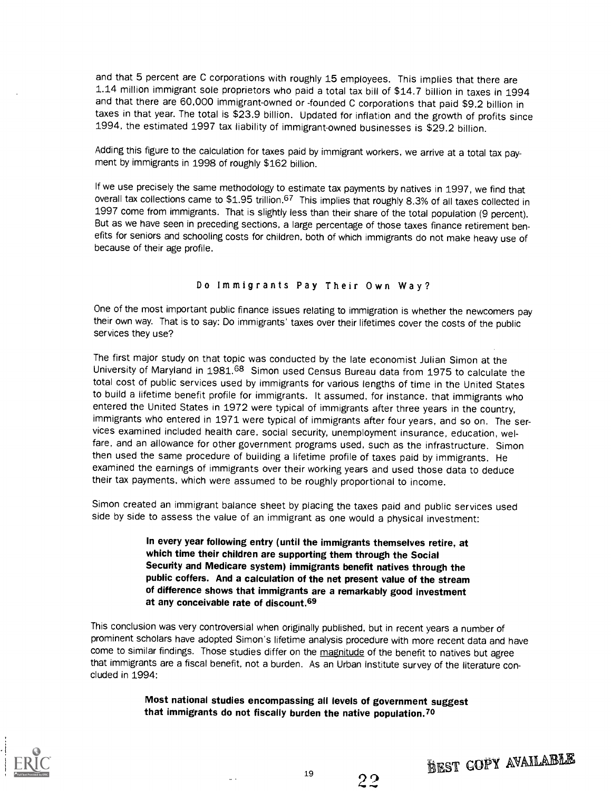and that 5 percent are C corporations with roughly 15 employees. This implies that there are 1.14 million immigrant sole proprietors who paid a total tax bill of \$14.7 billion in taxes in 1994 and that there are 60,000 immigrant-owned or -founded C corporations that paid \$9.2 billion in taxes in that year. The total is \$23.9 billion. Updated for inflation and the growth of profits since 1994, the estimated 1997 tax liability of immigrant-owned businesses is \$29.2 billion.

Adding this figure to the calculation for taxes paid by immigrant workers, we arrive at a total tax payment by immigrants in 1998 of roughly \$162 billion.

If we use precisely the same methodology to estimate tax payments by natives in 1997, we find that overall tax collections came to \$1.95 trillion.<sup>67</sup> This implies that roughly 8.3% of all taxes collected in 1997 come from immigrants. That is slightly less than their share of the total population (9 percent). But as we have seen in preceding sections, a large percentage of those taxes finance retirement benefits for seniors and schooling costs for children, both of which immigrants do not make heavy use of because of their age profile.

### Do Immigrants Pay Their Own Way?

One of the most important public finance issues relating to immigration is whether the newcomers pay their own way. That is to say: Do immigrants' taxes over their lifetimes cover the costs of the public services they use?

The first major study on that topic was conducted by the late economist Julian Simon at the University of Maryland in 1981.68 Simon used Census Bureau data from 1975 to calculate the total cost of public services used by immigrants for various lengths of time in the United States to build a lifetime benefit profile for immigrants. It assumed, for instance, that immigrants who entered the United States in 1972 were typical of immigrants after three years in the country, immigrants who entered in 1971 were typical of immigrants after four years, and so on. The services examined included health care, social security, unemployment insurance, education, welfare, and an allowance for other government programs used, such as the infrastructure. Simon then used the same procedure of building a lifetime profile of taxes paid by immigrants. He examined the earnings of immigrants over their working years and used those data to deduce their tax payments, which were assumed to be roughly proportional to income.

Simon created an immigrant balance sheet by placing the taxes paid and public services used side by side to assess the value of an immigrant as one would a physical investment:

> In every year following entry (until the immigrants themselves retire, at which time their children are supporting them through the Social Security and Medicare system) immigrants benefit natives through the public coffers. And a calculation of the net present value of the stream of difference shows that immigrants are a remarkably good investment at any conceivable rate of discount.69

This conclusion was very controversial when originally published, but in recent years a number of prominent scholars have adopted Simon's lifetime analysis procedure with more recent data and have come to similar findings. Those studies differ on the magnitude of the benefit to natives but agree that immigrants are a fiscal benefit, not a burden. As an Urban Institute survey of the literature concluded in 1994:

> Most national studies encompassing all levels of government suggest that immigrants do not fiscally burden the native population.70



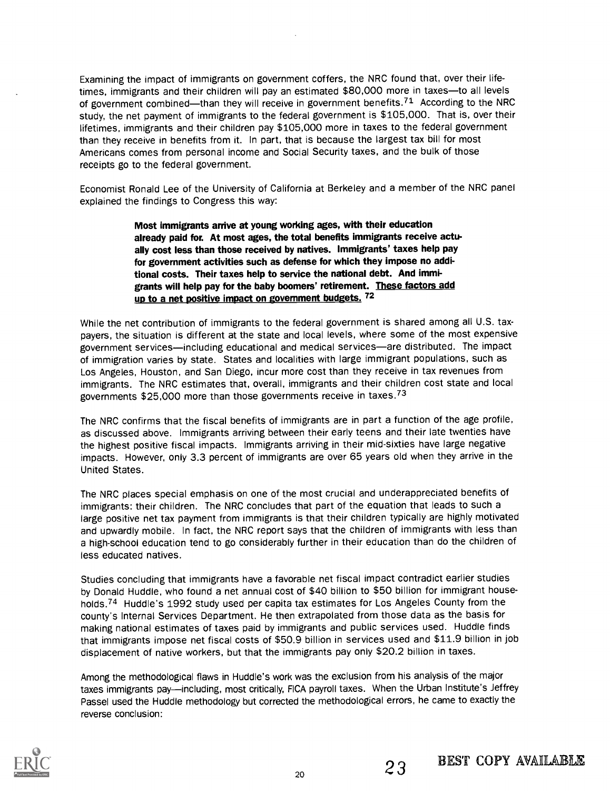Examining the impact of immigrants on government coffers, the NRC found that, over their lifetimes, immigrants and their children will pay an estimated \$80,000 more in taxes-to all levels of government combined—than they will receive in government benefits.<sup>71</sup> According to the NRC study, the net payment of immigrants to the federal government is \$105,000. That is, over their lifetimes, immigrants and their children pay \$105,000 more in taxes to the federal government than they receive in benefits from it. In part, that is because the largest tax bill for most Americans comes from personal income and Social Security taxes, and the bulk of those receipts go to the federal government.

Economist Ronald Lee of the University of California at Berkeley and a member of the NRC panel explained the findings to Congress this way:

> Most immigrants arrive at young working ages, with their education already paid for. At most ages, the total benefits immigrants receive actually cost less than those received by natives. Immigrants' taxes help pay for government activities such as defense for which they impose no additional costs. Their taxes help to service the national debt. And immigrants will help pay for the baby boomers' retirement. These factors add up to a net positive impact on government budgets. 72

While the net contribution of immigrants to the federal government is shared among all U.S. taxpayers, the situation is different at the state and local levels, where some of the most expensive government services-including educational and medical services-are distributed. The impact of immigration varies by state. States and localities with large immigrant populations, such as Los Angeles, Houston, and San Diego, incur more cost than they receive in tax revenues from immigrants. The NRC estimates that, overall, immigrants and their children cost state and local governments \$25,000 more than those governments receive in taxes.73

The NRC confirms that the fiscal benefits of immigrants are in part a function of the age profile, as discussed above. Immigrants arriving between their early teens and their late twenties have the highest positive fiscal impacts. Immigrants arriving in their mid-sixties have large negative impacts. However, only 3.3 percent of immigrants are over 65 years old when they arrive in the United States.

The NRC places special emphasis on one of the most crucial and underappreciated benefits of immigrants: their children. The NRC concludes that part of the equation that leads to such a large positive net tax payment from immigrants is that their children typically are highly motivated and upwardly mobile. In fact, the NRC report says that the children of immigrants with less than a high-school education tend to go considerably further in their education than do the children of less educated natives.

Studies concluding that immigrants have a favorable net fiscal impact contradict earlier studies by Donald Huddle, who found a net annual cost of \$40 billion to \$50 billion for immigrant households.<sup>74</sup> Huddle's 1992 study used per capita tax estimates for Los Angeles County from the county's Internal Services Department. He then extrapolated from those data as the basis for making national estimates of taxes paid by immigrants and public services used. Huddle finds that immigrants impose net fiscal costs of \$50.9 billion in services used and \$11.9 billion in job displacement of native workers, but that the immigrants pay only \$20.2 billion in taxes.

Among the methodological flaws in Huddle's work was the exclusion from his analysis of the major taxes immigrants pay—including, most critically, FICA payroll taxes. When the Urban Institute's Jeffrey Passel used the Huddle methodology but corrected the methodological errors, he came to exactly the reverse conclusion:

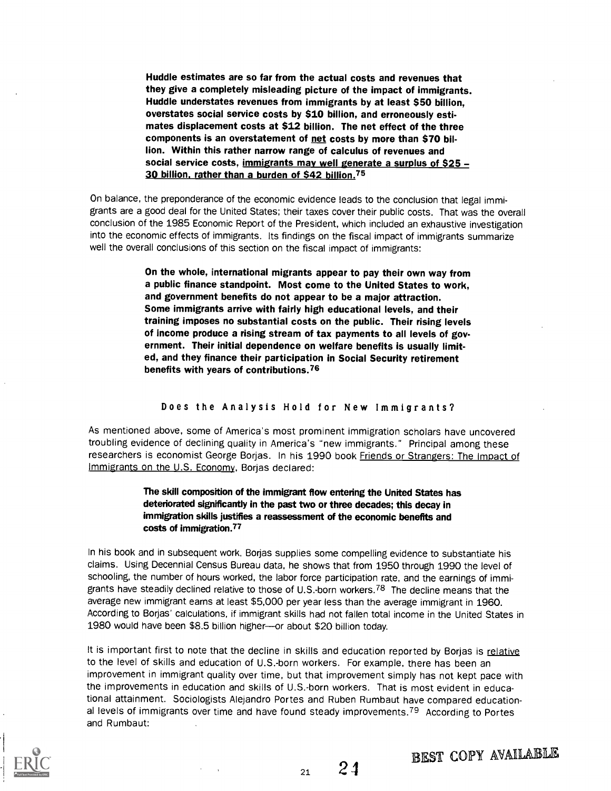Huddle estimates are so far from the actual costs and revenues that they give a completely misleading picture of the impact of immigrants. Huddle understates revenues from immigrants by at least \$50 billion, overstates social service costs by \$10 billion, and erroneously estimates displacement costs at \$12 billion. The net effect of the three components is an overstatement of net costs by more than \$70 billion. Within this rather narrow range of calculus of revenues and social service costs, immigrants may well generate a surplus of \$25 -30 billion, rather than a burden of \$42 billion.75

On balance, the preponderance of the economic evidence leads to the conclusion that legal immigrants are a good deal for the United States; their taxes cover their public costs. That was the overall conclusion of the 1985 Economic Report of the President, which included an exhaustive investigation into the economic effects of immigrants. Its findings on the fiscal impact of immigrants summarize well the overall conclusions of this section on the fiscal impact of immigrants:

> On the whole, international migrants appear to pay their own way from a public finance standpoint. Most come to the United States to work, and government benefits do not appear to be a major attraction. Some immigrants arrive with fairly high educational levels, and their training imposes no substantial costs on the public. Their rising levels of income produce a rising stream of tax payments to all levels of government. Their initial dependence on welfare benefits is usually limited, and they finance their participation in Social Security retirement benefits with years of contributions.76

#### Does the Analysis Hold for New Immigrants?

As mentioned above, some of America's most prominent immigration scholars have uncovered troubling evidence of declining quality in America's "new immigrants." Principal among these researchers is economist George Borjas. In his 1990 book Friends or Strangers: The Impact of Immigrants on the U.S. Economy, Borjas declared:

## The skill composition of the immigrant flow entering the United States has deteriorated significantly in the past two or three decades; this decay in immigration skills justifies a reassessment of the economic benefits and costs of immigration.77

In his book and in subsequent work. Borjas supplies some compelling evidence to substantiate his claims. Using Decennial Census Bureau data, he shows that from 1950 through 1990 the level of schooling, the number of hours worked, the labor force participation rate, and the earnings of immigrants have steadily declined relative to those of U.S.-born workers.<sup>78</sup> The decline means that the average new immigrant earns at least \$5,000 per year less than the average immigrant in 1960. According to Borjas' calculations, if immigrant skills had not fallen total income in the United States in 1980 would have been \$8.5 billion higher-or about \$20 billion today.

It is important first to note that the decline in skills and education reported by Borjas is relative to the level of skills and education of U.S.-born workers. For example, there has been an improvement in immigrant quality over time, but that improvement simply has not kept pace with the improvements in education and skills of U.S.-born workers. That is most evident in educational attainment. Sociologists Alejandro Portes and Ruben Rumbaut have compared educational levels of immigrants over time and have found steady improvements.79 According to Portes and Rumbaut:

BEST COPY AVAILABLE

 $_{21}$  24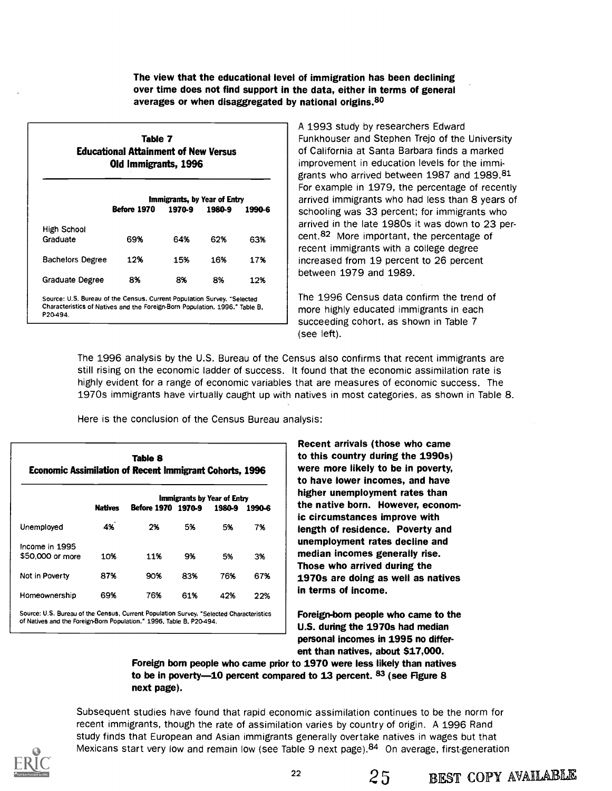The view that the educational level of immigration has been declining over time does not find support in the data, either in terms of general averages or when disaggregated by national origins.<sup>80</sup>

| Table 7                                     |  |
|---------------------------------------------|--|
| <b>Educational Attainment of New Versus</b> |  |
| Old Immigrants, 1996                        |  |

|                                                                                                                                                                    |             | Immigrants, by Year of Entry |        |        | For exa<br>arrived            |
|--------------------------------------------------------------------------------------------------------------------------------------------------------------------|-------------|------------------------------|--------|--------|-------------------------------|
|                                                                                                                                                                    | Before 1970 | 1970-9                       | 1980-9 | 1990-6 | school<br>arrived             |
| High School<br>Graduate                                                                                                                                            | 69%         | 64%                          | 62%    | 63%    | cent. <sup>82</sup><br>recent |
| <b>Bachelors Degree</b>                                                                                                                                            | 12%         | 15%                          | 16%    | 17%    | increas                       |
| Graduate Degree                                                                                                                                                    | 8%          | 8%                           | 8%     | 12%    | betwee                        |
| Source: U.S. Bureau of the Census. Current Population Survey, "Selected<br>Characteristics of Natives and the Foreign-Born Population, 1996," Table B.<br>P20-494. |             |                              |        |        | The $19$<br>more h            |

A 1993 study by researchers Edward Funkhouser and Stephen Trejo of the University of California at Santa Barbara finds a marked improvement in education levels for the immigrants who arrived between 1987 and 1989.81 For example in 1979, the percentage of recently arrived immigrants who had less than 8 years of schooling was 33 percent; for immigrants who arrived in the late 1980s it was down to 23 percent.82 More important, the percentage of recent immigrants with a college degree increased from 19 percent to 26 percent between 1979 and 1989.

The 1996 Census data confirm the trend of more highly educated immigrants in each succeeding cohort, as shown in Table 7 (see left).

The 1996 analysis by the U.S. Bureau of the Census also confirms that recent immigrants are still rising on the economic ladder of success. It found that the economic assimilation rate is highly evident for a range of economic variables that are measures of economic success. The 1970s immigrants have virtually caught up with natives in most categories, as shown in Table 8.

Here is the conclusion of the Census Bureau analysis:

| Table 8<br><b>Economic Assimilation of Recent Immigrant Cohorts, 1996</b>               |                |                    |     |                                       | Recent arrivals (those who came<br>to this country during the 1990s)<br>were more likely to be in poverty,<br>to have lower incomes, and have |                                                                                                      |
|-----------------------------------------------------------------------------------------|----------------|--------------------|-----|---------------------------------------|-----------------------------------------------------------------------------------------------------------------------------------------------|------------------------------------------------------------------------------------------------------|
|                                                                                         | <b>Natives</b> | Before 1970 1970-9 |     | Immigrants by Year of Entry<br>1980-9 | 1990-6                                                                                                                                        | higher unemployment rates than<br>the native born. However, econom-<br>ic circumstances improve with |
| Unemployed                                                                              | 4%             | 2%                 | 5%  | 5%                                    | 7%                                                                                                                                            | length of residence. Poverty and<br>unemployment rates decline and                                   |
| Income in 1995<br>\$50,000 or more                                                      | 10%            | 11%                | 9%  | 5%                                    | 3%                                                                                                                                            | median incomes generally rise.<br>Those who arrived during the                                       |
| Not in Poverty                                                                          | 87%            | 90%                | 83% | 76%                                   | 67%                                                                                                                                           | 1970s are doing as well as natives                                                                   |
| Homeownership                                                                           | 69%            | 76%                | 61% | 42%                                   | 22%                                                                                                                                           | in terms of income.                                                                                  |
| Source: U.S. Bureau of the Census, Current Population Survey, "Selected Characteristics |                |                    |     |                                       |                                                                                                                                               | Foreign-born people who came to the                                                                  |

of Natives and the Foreign-Born Population," 1996, Table B, P20-494.

Foreign-born people who came to the U.S. during the 1970s had median personal incomes in 1995 no different than natives, about 617,000.

Foreign born people who came prior to 1970 were less likely than natives to be in poverty-10 percent compared to 13 percent. 83 (see Figure 8 next page).

Subsequent studies have found that rapid economic assimilation continues to be the norm for recent immigrants, though the rate of assimilation varies by country of origin. A 1996 Rand study finds that European and Asian immigrants generally overtake natives in wages but that Mexicans start very low and remain low (see Table 9 next page).<sup>84</sup> On average, first-generation

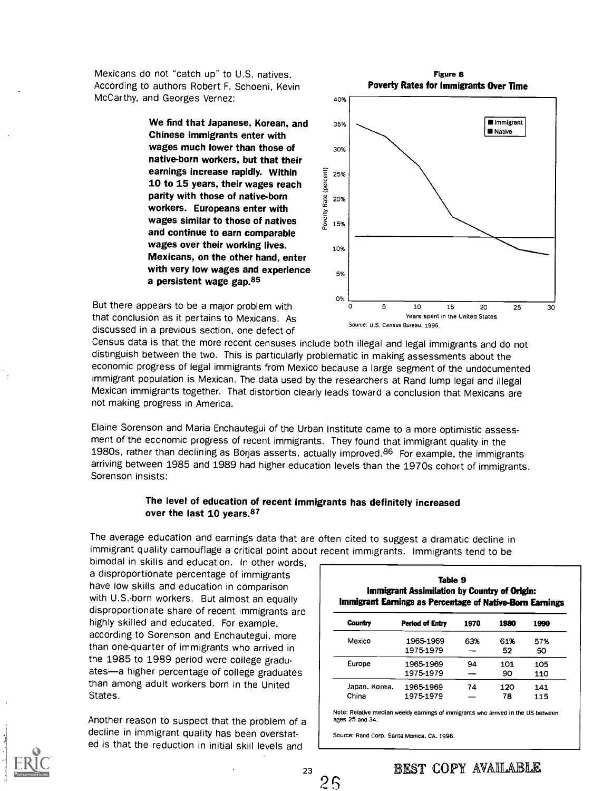Mexicans do not "catch up" to U.S. natives. According to authors Robert F. Schoeni, Kevin McCarthy, and Georges Vernez:

> We find that Japanese, Korean, and Chinese immigrants enter with wages much lower than those of native-born workers, but that their earnings increase rapidly. Within  $\frac{25}{8}$   $25\%$ <br>
> 10 to 15 years, their wages reach<br>
> parity with those of native-born<br>
> workers. Europeans enter with<br>
> wages similar to those of natives 10 to 15 years, their wages reach parity with those of native-born  $\frac{1}{8}$  20% workers. Europeans enter with wages similar to those of natives and continue to earn comparable wages over their working lives. Mexicans, on the other hand, enter with very low wages and experience a persistent wage gap.85



Figure 8

But there appears to be a major problem with that conclusion as it pertains to Mexicans. As discussed in a previous section, one defect of

Census data is that the more recent censuses include both illegal and legal immigrants and do not distinguish between the two. This is particularly problematic in making assessments about the economic progress of legal immigrants from Mexico because a large segment of the undocumented immigrant population is Mexican. The data used by the researchers at Rand lump legal and illegal Mexican immigrants together. That distortion clearly leads toward a conclusion that Mexicans are not making progress in America.

Elaine Sorenson and Maria Enchautegui of the Urban Institute came to a more optimistic assessment of the economic progress of recent immigrants. They found that immigrant quality in the 1980s, rather than declining as Borjas asserts, actually improved.<sup>86</sup> For example, the immigrants arriving between 1985 and 1989 had higher education levels than the 1970s cohort of immigrants. Sorenson insists:

### The level of education of recent immigrants has definitely increased over the last 10 years.<sup>87</sup>

The average education and earnings data that are often cited to suggest a dramatic decline in immigrant quality camouflage a critical point about recent immigrants. Immigrants tend to be

bimodal in skills and education. In other words, a disproportionate percentage of immigrants have low skills and education in comparison with U.S.-born workers. But almost an equally disproportionate share of recent immigrants are highly skilled and educated. For example, according to Sorenson and Enchautegui, more than one-quarter of immigrants who arrived in the 1985 to 1989 period were college graduates-a higher percentage of college graduates than among adult workers born in the United States.

Another reason to suspect that the problem of a decline in immigrant quality has been overstated is that the reduction in initial skill levels and

| Table 9<br>Immigrant Assimilation by Country of Origin:<br>Immigrant Earnings as Percentage of Native-Born Earnings |                        |      |           |            |  |  |
|---------------------------------------------------------------------------------------------------------------------|------------------------|------|-----------|------------|--|--|
| Country                                                                                                             | Period of Entry        | 1970 | 1980      | 1990       |  |  |
| Mexico                                                                                                              | 1965-1969<br>1975-1979 | 63%  | 61%<br>52 | 57%<br>50  |  |  |
| Europe                                                                                                              | 1965-1969<br>1975-1979 | 94   | 101<br>90 | 105<br>110 |  |  |
| Japan, Korea.<br>China                                                                                              | 1965-1969<br>1975-1979 | 74   | 120<br>78 | 141<br>115 |  |  |

Note: Relative median weekly earnings of immigrants who arrived in the US between ages 25 and 34.

Source: Rand Corp. Santa Monica, CA, 1996.

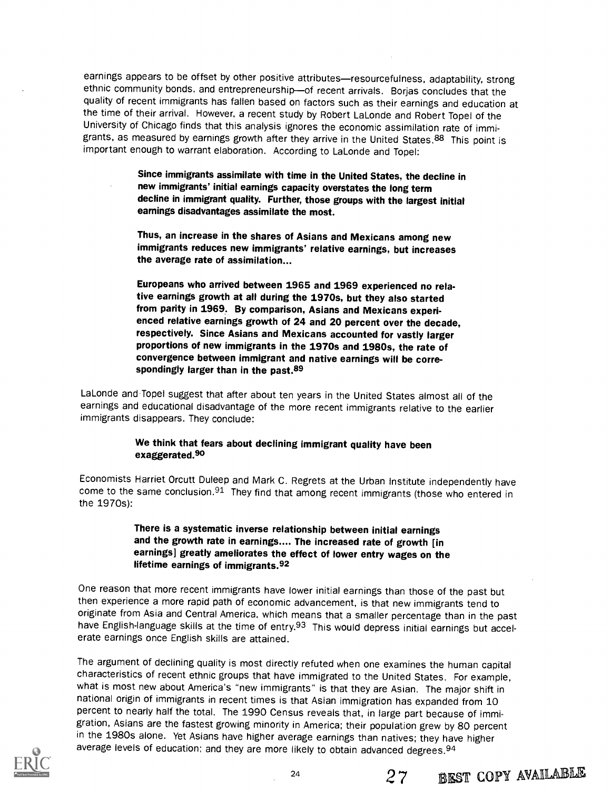earnings appears to be offset by other positive attributes—resourcefulness, adaptability, strong ethnic community bonds, and entrepreneurship-of recent arrivals. Borjas concludes that the quality of recent immigrants has fallen based on factors such as their earnings and education at the time of their arrival. However, a recent study by Robert LaLonde and Robert Topel of the University of Chicago finds that this analysis ignores the economic assimilation rate of immigrants, as measured by earnings growth after they arrive in the United States.<sup>88</sup> This point is important enough to warrant elaboration. According to LaLonde and Topel:

> Since immigrants assimilate with time in the United States, the decline in new immigrants' initial earnings capacity overstates the long term decline in immigrant quality. Further, those groups with the largest initial earnings disadvantages assimilate the most.

Thus, an increase in the shares of Asians and Mexicans among new immigrants reduces new immigrants' relative earnings, but increases the average rate of assimilation...

Europeans who arrived between 1965 and 1969 experienced no relative earnings growth at all during the 1970s, but they also started from parity in 1969. By comparison, Asians and Mexicans experienced relative earnings growth of 24 and 20 percent over the decade, respectively. Since Asians and Mexicans accounted for vastly larger proportions of new immigrants in the 1970s and 1980s, the rate of convergence between immigrant and native earnings will be correspondingly larger than in the past.<sup>89</sup>

LaLonde and.Topel suggest that after about ten years in the United States almost all of the earnings and educational disadvantage of the more recent immigrants relative to the earlier immigrants disappears. They conclude:

## We think that fears about declining immigrant quality have been exaggerated.<sup>90</sup>

Economists Harriet Orcutt Duleep and Mark C. Regrets at the Urban Institute independently have come to the same conclusion.<sup>91</sup> They find that among recent immigrants (those who entered in the 1970s):

> There is a systematic inverse relationship between initial earnings and the growth rate in earnings.... The increased rate of growth [in earnings] greatly ameliorates the effect of lower entry wages on the lifetime earnings of immigrants.92

One reason that more recent immigrants have lower initial earnings than those of the past but then experience a more rapid path of economic advancement, is that new immigrants tend to originate from Asia and Central America, which means that a smaller percentage than in the past have English-language skills at the time of entry.<sup>93</sup> This would depress initial earnings but accelerate earnings once English skills are attained.

The argument of declining quality is most directly refuted when one examines the human capital characteristics of recent ethnic groups that have immigrated to the United States. For example, what is most new about America's "new immigrants" is that they are Asian. The major shift in national origin of immigrants in recent times is that Asian immigration has expanded from 10 percent to nearly half the total. The 1990 Census reveals that, in large part because of immigration, Asians are the fastest growing minority in America; their population grew by 80 percent in the 1980s alone. Yet Asians have higher average earnings than natives; they have higher average levels of education; and they are more likely to obtain advanced degrees.<sup>94</sup>

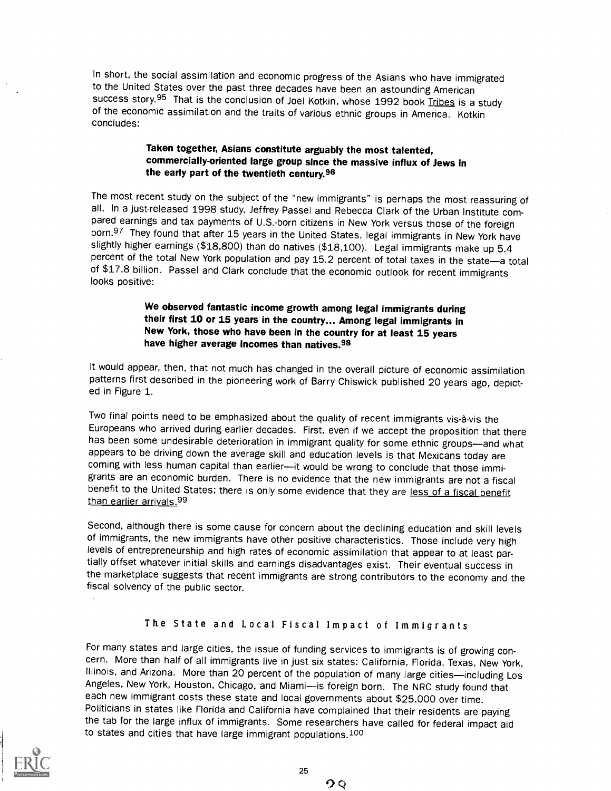In short, the social assimilation and economic progress of the Asians who have immigrated to the United States over the past three decades have been an astounding American success story.<sup>95</sup> That is the conclusion of Joel Kotkin, whose 1992 book Tribes is a study of the economic assimilation and the traits of various ethnic groups in America. Kotkin concludes:

## Taken together, Asians constitute arguably the most talented, commercially-oriented large group since the massive influx of Jews in the early part of the twentieth century.96

The most recent study on the subject of the "new immigrants" is perhaps the most reassuring of all. In a just-released 1998 study, Jeffrey Passel and Rebecca Clark of the Urban Institute compared earnings and tax payments born.<sup>97</sup> They found that after 15 years in the United States, legal immigrants in New York have slightly higher earnings (\$18,800) than do natives (\$18,100). Legal immigrants make up 5.4 percent of the total New York population and pay 15.2 percent of total taxes in the state-a total of \$17.8 billion. Passel and Clark conclude that the economic outlook for recent immigrants looks positive:

## We observed fantastic income growth among legal immigrants during their first 10 or 15 years in the country... Among legal immigrants in New York, those who have been in the country for at least 15 years have higher average incomes than natives.98

It would appear, then, that not much has changed in the overall picture of economic assimilation patterns first described in the pioneering work of Barry Chiswick published 20 years ago, depict-<br>ed in Figure 1.

Two final points need to be emphasized about the quality of recent immigrants vis-ä-vis the Europeans who arrived during earlier decades. First, even if we accept the proposition that there has been some undesirable deterioration in immigrant quality for some ethnic groups-and what appears to be driving down the average skill and education levels is that Mexicans today are coming with less human capital than earlier--- it would be wrong to conclude that those immigrants are an economic burden. There is no evidence that the new immigrants are not a fiscal benefit to the United States; there is only some evidence that they are less of a fiscal benefit than earlier arrivals.<sup>99</sup>

Second, although there is some cause for concern about the declining education and skill levels of immigrants, the new immigrants have other positive characteristics. Those include very high levels of entrepreneurship and high rates of economic assimilation that appear to at least partially offset whatever initial skills and earnings disadvantages exist. Their eventual success in the marketplace suggests that recent immigrants are strong contributors to the economy and the fiscal solvency of the public sector.

## The State and Local Fiscal Impact of Immigrants

For many states and large cities, the issue of funding services to immigrants is of growing concern. More than half of all immigrants live in just six states: California, Florida, Texas, New York, Illinois, and Arizona. More than 20 percent of the population of many large cities—including Los Angeles, New York, Houston, Chicago, and Miami--- is foreign born. The NRC study found that each new immigrant costs these state and local governments about \$25,000 over time. Politicians in states like Florida and California have complained that their residents are paying the tab for the large influx of immigrants. Some researchers have called for federal impact aid to states and cities that have large immigrant populations.100

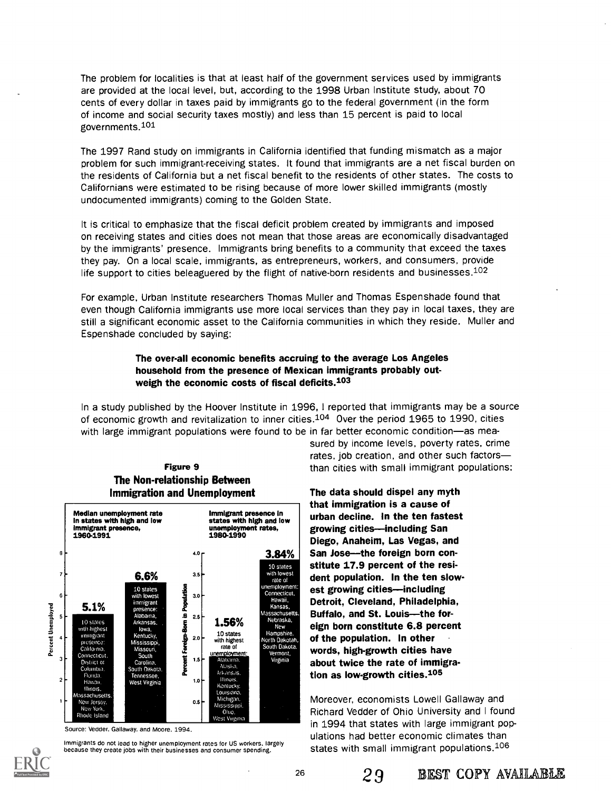The problem for localities is that at least half of the government services used by immigrants are provided at the local level, but, according to the 1998 Urban Institute study, about 70 cents of every dollar in taxes paid by immigrants go to the federal government (in the form of income and social security taxes mostly) and less than 15 percent is paid to local governments.101

The 1997 Rand study on immigrants in California identified that funding mismatch as a major problem for such immigrant-receiving states. It found that immigrants are a net fiscal burden on the residents of California but a net fiscal benefit to the residents of other states. The costs to Californians were estimated to be rising because of more lower skilled immigrants (mostly undocumented immigrants) coming to the Golden State.

It is critical to emphasize that the fiscal deficit problem created by immigrants and imposed on receiving states and cities does not mean that those areas are economically disadvantaged by the immigrants' presence. Immigrants bring benefits to a community that exceed the taxes they pay. On a local scale, immigrants, as entrepreneurs, workers, and consumers, provide life support to cities beleaguered by the flight of native-born residents and businesses.<sup>102</sup>

For example, Urban Institute researchers Thomas Muller and Thomas Espenshade found that even though California immigrants use more local services than they pay in local taxes, they are still a significant economic asset to the California communities in which they reside. Muller and Espenshade concluded by saying:

## The over-all economic benefits accruing to the average Los Angeles household from the presence of Mexican immigrants probably outweigh the economic costs of fiscal deficits.103

In a study published by the Hoover Institute in 1996, I reported that immigrants may be a source of economic growth and revitalization to inner cities.104 Over the period 1965 to 1990, cities with large immigrant populations were found to be in far better economic condition-as mea-





Source: Vedder, Gallaway, and Moore. 1994.



Immigrants do not lead to higher unemployment rates for US workers, largely because they create jobs with their businesses and consumer spending.

sured by income levels, poverty rates, crime rates, job creation, and other such factors **Figure 9** than cities with small immigrant populations:

> 3.84% | San Jose-the foreign born con-New eign born constitute 6.8 percent The data should dispel any myth that immigration is a cause of urban decline. In the ten fastest growing cities-including San Diego, Anaheim, Las Vegas, and stitute 17.9 percent of the resident population. In the ten slowest growing cities—including Detroit, Cleveland, Philadelphia, Buffalo, and St. Louis--the forof the population. In other words, high-growth cities have about twice the rate of immigration as low-growth cities.105

> > Moreover, economists Lowell Gallaway and Richard Vedder of Ohio University and I found in 1994 that states with large immigrant populations had better economic climates than states with small immigrant populations. $106$

> > > 29 BEST COPY AVAILABLE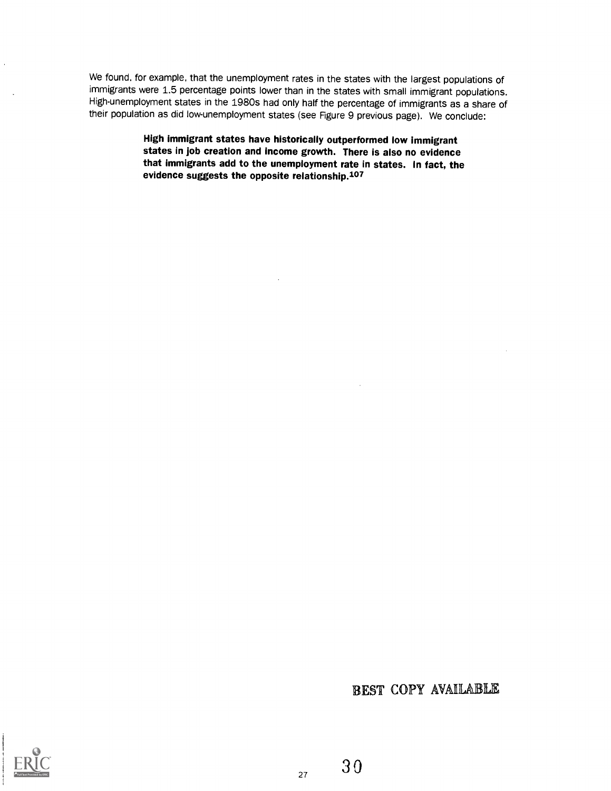We found, for example, that the unemployment rates in the states with the largest populations of immigrants were 1.5 percentage points lower than in the states with small immigrant populations. High-unemployment states in the 1980s had only half the percentage of immigrants as a share of their population as did low-unemployment states (see Figure 9 previous page). We conclude:

> High immigrant states have historically outperformed low immigrant states in job creation and income growth. There is also no evidence that immigrants add to the unemployment rate in states. In fact, the evidence suggests the opposite relationship.107

> > BEST COPY AVAILABLE



3 0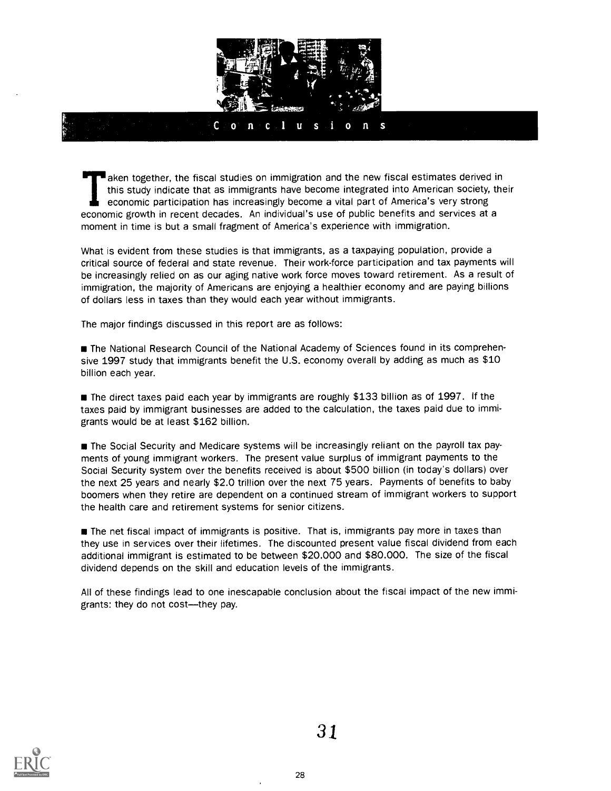

staken together, the fiscal studies on immigration and the new fiscal estimates derived in this study indicate that as immigrants have become integrated into American society, their economic participation has increasingly become a vital part of America's very strong economic growth in recent decades. An individual's use of public benefits and services at a moment in time is but a small fragment of America's experience with immigration.

What is evident from these studies is that immigrants, as a taxpaying population, provide a critical source of federal and state revenue. Their work-force participation and tax payments will be increasingly relied on as our aging native work force moves toward retirement. As a result of immigration, the majority of Americans are enjoying a healthier economy and are paying billions of dollars less in taxes than they would each year without immigrants.

The major findings discussed in this report are as follows:

**The National Research Council of the National Academy of Sciences found in its comprehen**sive 1997 study that immigrants benefit the U.S. economy overall by adding as much as \$10 billion each year.

**The direct taxes paid each year by immigrants are roughly \$133 billion as of 1997.** If the taxes paid by immigrant businesses are added to the calculation, the taxes paid due to immigrants would be at least \$162 billion.

The Social Security and Medicare systems will be increasingly reliant on the payroll tax payments of young immigrant workers. The present value surplus of immigrant payments to the Social Security system over the benefits received is about \$500 billion (in today's dollars) over the next 25 years and nearly \$2.0 trillion over the next 75 years. Payments of benefits to baby boomers when they retire are dependent on a continued stream of immigrant workers to support the health care and retirement systems for senior citizens.

**The net fiscal impact of immigrants is positive. That is, immigrants pay more in taxes than** they use in services over their lifetimes. The discounted present value fiscal dividend from each additional immigrant is estimated to be between \$20,000 and \$80,000. The size of the fiscal dividend depends on the skill and education levels of the immigrants.

All of these findings lead to one inescapable conclusion about the fiscal impact of the new immigrants: they do not cost--they pay.

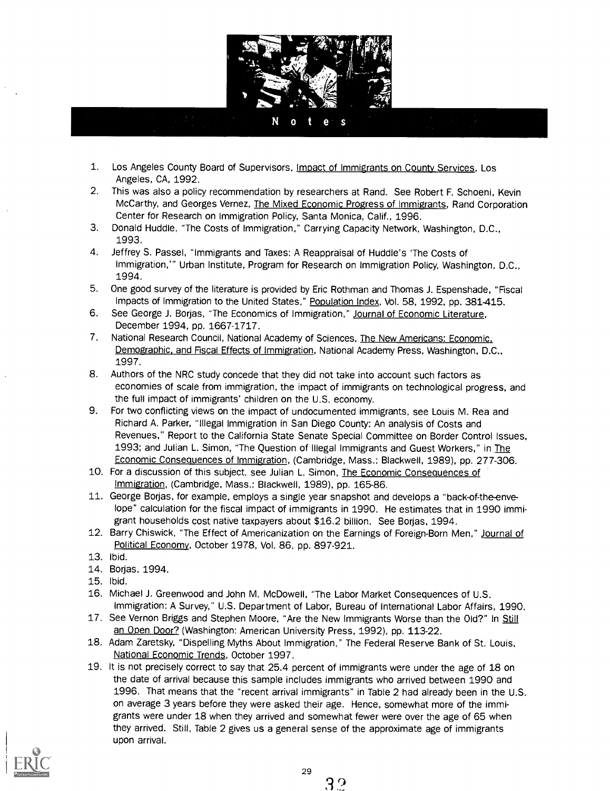

#### $\Omega$ е G

- 1. Los Angeles County Board of Supervisors, Impact of Immigrants on County Services, Los Angeles, CA, 1992.
- 2. This was also a policy recommendation by researchers at Rand. See Robert F. Schoeni, Kevin McCarthy, and Georges Vernez, The Mixed Economic Progress of Immigrants, Rand Corporation Center for Research on Immigration Policy, Santa Monica, Calif., 1996.
- 3. Donald Huddle, "The Costs of Immigration," Carrying Capacity Network, Washington, D.C., 1993.
- 4. Jeffrey S. Passel, "Immigrants and Taxes: A Reappraisal of Huddle's 'The Costs of Immigration,'" Urban Institute, Program for Research on Immigration Policy, Washington, D.C., 1994.
- 5. One good survey of the literature is provided by Eric Rothman and Thomas J. Espenshade, "Fiscal Impacts of Immigration to the United States," Population Index, Vol. 58, 1992, pp. 381-415.
- 6. See George J. Borjas, "The Economics of Immigration," Journal of Economic Literature, December 1994, pp. 1667-1717.
- 7. National Research Council, National Academy of Sciences, The New Americans: Economic. Demographic, and Fiscal Effects of Immigration, National Academy Press, Washington, D.C., 1997.
- 8. Authors of the NRC study concede that they did not take into account such factors as economies of scale from immigration, the impact of immigrants on technological progress, and the full impact of immigrants' children on the U.S. economy.
- 9. For two conflicting views on the impact of undocumented immigrants, see Louis M. Rea and Richard A. Parker, "Illegal Immigration in San Diego County: An analysis of Costs and Revenues," Report to the California State Senate Special Committee on Border Control Issues, 1993; and Julian L. Simon, "The Question of Illegal Immigrants and Guest Workers," in The Economic Consequences of Immigration, (Cambridge, Mass.: Blackwell, 1989), pp. 277-306.
- 10. For a discussion of this subject, see Julian L. Simon, The Economic Consequences of Immigration, (Cambridge, Mass.: Blackwell, 1989), pp. 165-86.
- 11. George Borjas, for example, employs a single year snapshot and develops a "back-of-the-envelope" calculation for the fiscal impact of immigrants in 1990. He estimates that in 1990 immigrant households cost native taxpayers about \$16.2 billion. See Borjas, 1994.
- 12. Barry Chiswick, "The Effect of Americanization on the Earnings of Foreign-Born Men," Journal of Political Economy, October 1978, Vol. 86, pp. 897-921.
- 13. Ibid.
- 14. Borjas, 1994.
- 15. Ibid.
- 16. Michael J. Greenwood and John M. McDowell, "The Labor Market Consequences of U.S. Immigration: A Survey," U.S. Department of Labor, Bureau of International Labor Affairs, 1990.
- 17. See Vernon Briggs and Stephen Moore, "Are the New Immigrants Worse than the Old?" In Still an Open Door? (Washington: American University Press, 1992), pp. 113-22.
- 18. Adam Zaretsky, "Dispelling Myths About Immigration," The Federal Reserve Bank of St. Louis, National Economic Trends, October 1997.
- 19. It is not precisely correct to say that 25.4 percent of immigrants were under the age of 18 on the date of arrival because this sample includes immigrants who arrived between 1990 and 1996. That means that the "recent arrival immigrants" in Table 2 had already been in the U.S. on average 3 years before they were asked their age. Hence, somewhat more of the immigrants were under 18 when they arrived and somewhat fewer were over the age of 65 when they arrived. Still, Table 2 gives us a general sense of the approximate age of immigrants upon arrival.

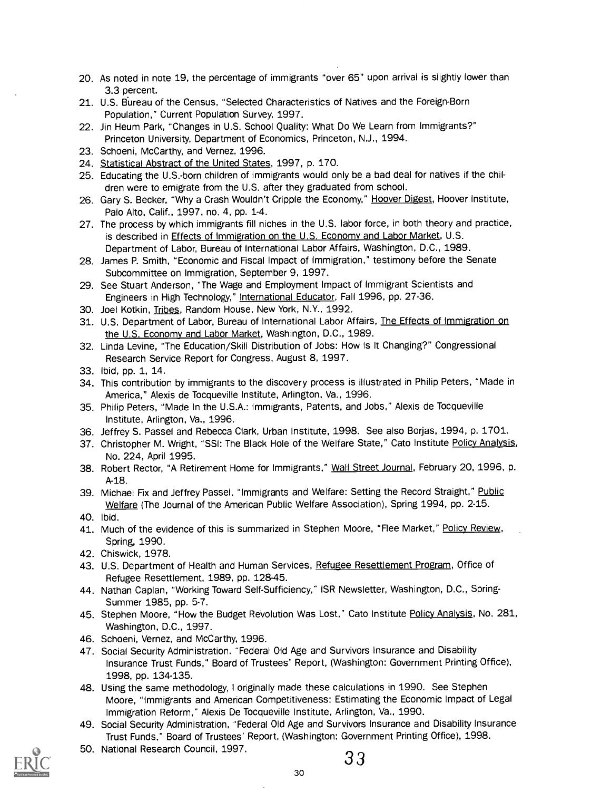- 20. As noted in note 19, the percentage of immigrants "over 65" upon arrival is slightly lower than 3.3 percent.
- 21. U.S. BUreau of the Census. "Selected Characteristics of Natives and the Foreign-Born Population," Current Population Survey, 1997.
- 22. Jin Heum Park, "Changes in U.S. School Quality: What Do We Learn from Immigrants?" Princeton University, Department of Economics, Princeton, N.J., 1994.
- 23. Schoeni, McCarthy, and Vernez, 1996.
- 24. Statistical Abstract of the United States, 1997, p. 170.
- 25. Educating the U.S.-born children of immigrants would only be a bad deal for natives if the children were to emigrate from the U.S. after they graduated from school.
- 26. Gary S. Becker, "Why a Crash Wouldn't Cripple the Economy," Hoover Digest, Hoover Institute, Palo Alto, Calif., 1997, no. 4, pp. 1-4.
- 27. The process by which immigrants fill niches in the U.S. labor force, in both theory and practice, is described in Effects of Immigration on the U.S. Economy and Labor Market, U.S. Department of Labor, Bureau of International Labor Affairs, Washington, D.C., 1989.
- 28. James P. Smith, "Economic and Fiscal Impact of Immigration," testimony before the Senate Subcommittee on Immigration, September 9, 1997.
- 29. See Stuart Anderson, "The Wage and Employment Impact of Immigrant Scientists and Engineers in High Technology," International Educator, Fall 1996, pp. 27-36.
- 30. Joel Kotkin, Tribes, Random House, New York, N.Y., 1992.
- 31. U.S. Department of Labor, Bureau of International Labor Affairs, The Effects of Immigration on the U.S. Economy and Labor Market, Washington, D.C., 1989.
- 32. Linda Levine, "The Education/Skill Distribution of Jobs: How Is It Changing?" Congressional Research Service Report for Congress, August 8, 1997.
- 33. Ibid, pp. 1, 14.
- 34. This contribution by immigrants to the discovery process is illustrated in Philip Peters, "Made in America," Alexis de Tocqueville Institute, Arlington, Va., 1996.
- 35. Philip Peters, "Made In the U.S.A.: Immigrants, Patents, and Jobs," Alexis de Tocqueville Institute, Arlington, Va., 1996.
- 36. Jeffrey S. Passel and Rebecca Clark, Urban Institute, 1998. See also Borjas, 1994, p. 1701.
- 37. Christopher M. Wright, "SSI: The Black Hole of the Welfare State," Cato Institute Policy Analysis, No. 224, April 1995.
- 38. Robert Rector, "A Retirement Home for Immigrants," Wall Street Journal, February 20, 1996, p. A-18.
- 39. Michael Fix and Jeffrey Passel, "Immigrants and Welfare: Setting the Record Straight," Public Welfare (The Journal of the American Public Welfare Association), Spring 1994, pp. 2-15.
- 40. Ibid.
- 41. Much of the evidence of this is summarized in Stephen Moore, "Flee Market," Policy Review, Spring, 1990.
- 42. Chiswick, 1978.
- 43. U.S. Department of Health and Human Services, Refugee Resettlement Program, Office of Refugee Resettlement, 1989, pp. 128-45.
- 44. Nathan Caplan, "Working Toward Self-Sufficiency," ISR Newsletter, Washington, D.C., Spring-Summer 1985, pp. 5-7.
- 45. Stephen Moore, "How the Budget Revolution Was Lost," Cato Institute Policy Analysis, No. 281, Washington, D.C., 1997.
- 46. Schoeni, Vernez, and McCarthy, 1996.
- 47. Social Security Administration. "Federal Old Age and Survivors Insurance and Disability Insurance Trust Funds," Board of Trustees' Report, (Washington: Government Printing Office), 1998, pp. 134-135.
- 48. Using the same methodology, I originally made these calculations in 1990. See Stephen Moore, "Immigrants and American Competitiveness: Estimating the Economic Impact of Legal Immigration Reform," Alexis De Tocqueville Institute, Arlington, Va., 1990.
- 49. Social Security Administration, "Federal Old Age and Survivors Insurance and Disability Insurance Trust Funds," Board of Trustees' Report. (Washington: Government Printing Office), 1998.



50. National Research Council, 1997.

3 3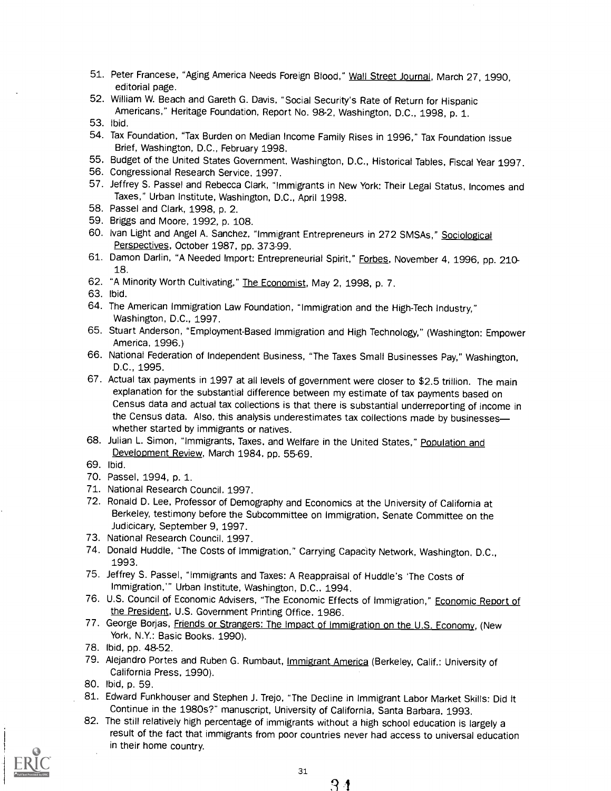- 51. Peter Francese, "Aging America Needs Foreign Blood," Wall Street Journal, March 27, 1990, editorial page.
- 52. William W. Beach and Gareth G. Davis, "Social Security's Rate of Return for Hispanic Americans," Heritage Foundation, Report No. 98-2, Washington, D.C., 1998, p. 1. 53. Ibid.
- 
- 54. Tax Foundation, "Tax Burden on Median Income Family Rises in 1996," Tax Foundation Issue Brief, Washington, D.C., February 1998.
- 55. Budget of the United States Government, Washington, D.C., Historical Tables, Fiscal Year 1997.
- 56. Congressional Research Service, 1997.
- 57. Jeffrey S. Passel and Rebecca Clark, "Immigrants in New York: Their Legal Status, Incomes and Taxes," Urban Institute, Washington, D.C., April 1998.
- 58. Passel and Clark, 1998, p. 2.
- 59. Briggs and Moore, 1992, p. 108.
- 60. Ivan Light and Angel A. Sanchez, "Immigrant Entrepreneurs in 272 SMSAs," Sociological Perspectives, October 1987, pp. 373-99.
- 61. Damon Darlin, "A Needed Import: Entrepreneurial Spirit," Forbes, November 4, 1996, pp. 210-18.
- 62. "A Minority Worth Cultivating," The Economist, May 2, 1998, p. 7.

63. Ibid.

- 64. The American Immigration Law Foundation, "Immigration and the High-Tech Industry," Washington, D.C., 1997.
- 65. Stuart Anderson, "Employment-Based Immigration and High Technology," (Washington: Empower America, 1996.)
- 66. National Federation of Independent Business, "The Taxes Small Businesses Pay," Washington, D.C., 1995.
- 67. Actual tax payments in 1997 at all levels of government were closer to \$2.5 trillion. The main explanation for the substantial difference between my estimate of tax payments based on Census data and actual tax collections is that there is substantial underreporting of income in the Census data. Also, this analysis underestimates tax collections made by businesseswhether started by immigrants or natives.
- 68. Julian L. Simon, "Immigrants, Taxes, and Welfare in the United States," Population and Development Review, March 1984, pp. 55-69.
- 69. Ibid.
- 70. Passel, 1994, p. 1.
- 71. National Research Council, 1997.
- 72. Ronald D. Lee, Professor of Demography and Economics at the University of California at Berkeley, testimony before the Subcommittee on Immigration, Senate Committee on the Judicicary, September 9, 1997.
- 73. National Research Council. 1997.
- 74. Donald Huddle, "The Costs of Immigration," Carrying Capacity Network, Washington, D.C., 1993.
- 75. Jeffrey S. Passel, "Immigrants and Taxes: A Reappraisal of Huddle's 'The Costs of Immigration," Urban Institute, Washington, D.C., 1994.
- 76. U.S. Council of Economic Advisers, "The Economic Effects of Immigration," Economic Report of the President, U.S. Government Printing Office, 1986.
- 77. George Borjas, Friends or Strangers: The Impact of Immigration on the U.S. Economy, (New York, N.Y.: Basic Books, 1990).
- 78. Ibid, pp. 48-52.
- 79. Alejandro Portes and Ruben G. Rumbaut, Immigrant America (Berkeley, Calif.: University of California Press, 1990).
- 80. Ibid, p. 59.
- 81. Edward Funkhouser and Stephen J. Trejo, "The Decline in Immigrant Labor Market Skills: Did It Continue in the 1980s?" manuscript, University of California, Santa Barbara, 1993.
- 82. The still relatively high percentage of immigrants without a high school education is largely a result of the fact that immigrants from poor countries never had access to universal education in their home country.

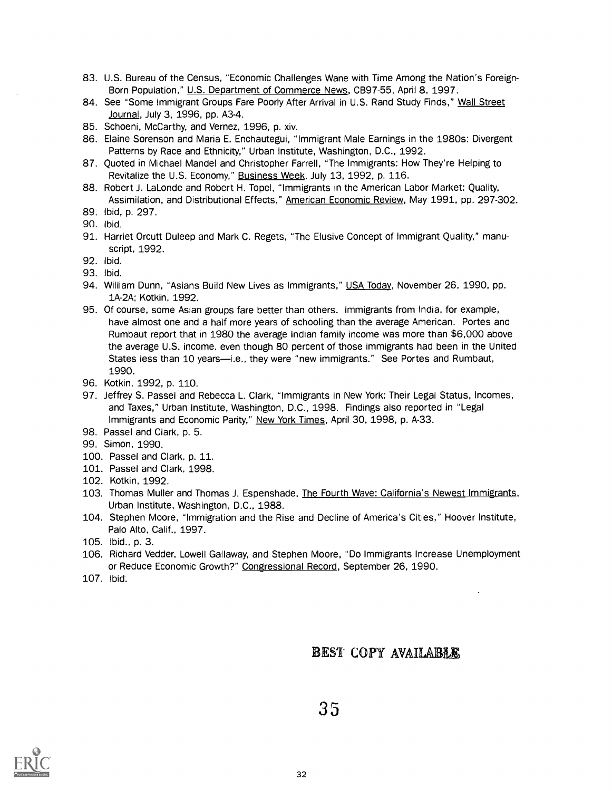- 83. U.S. Bureau of the Census, "Economic Challenges Wane with Time Among the Nation's Foreign-Born Population," U.S. Department of Commerce News, CB97-55, April 8, 1997.
- 84. See "Some Immigrant Groups Fare Poorly After Arrival in U.S. Rand Study Finds," Wall Street Journal, July 3, 1996, pp. A3-4.
- 85. Schoeni, McCarthy, and Vernez, 1996, p. xiv.
- 86. Elaine Sorenson and Maria E. Enchautegui, "Immigrant Male Earnings in the 1980s: Divergent Patterns by Race and Ethnicity," Urban Institute, Washington, D.C., 1992.
- 87. Quoted in Michael Mandel and Christopher Farrell, "The Immigrants: How They're Helping to Revitalize the U.S. Economy," Business Week, July 13, 1992, p. 116.
- 88. Robert J. LaLonde and Robert H. Topel, "Immigrants in the American Labor Market: Quality, Assimilation, and Distributional Effects," American Economic Review, May 1991, pp. 297-302.
- 89. Ibid, p. 297.
- 90. Ibid.
- 91. Harriet Orcutt Duleep and Mark C. Regets, "The Elusive Concept of Immigrant Quality," manuscript, 1992.
- 92. Ibid.
- 93. Ibid.
- 94. William Dunn, "Asians Build New Lives as Immigrants," USA Today, November 26, 1990, pp. 1A-2A; Kotkin, 1992.
- 95. Of course, some Asian groups fare better than others. Immigrants from India, for example, have almost one and a half more years of schooling than the average American. Portes and Rumbaut report that in 1980 the average Indian family income was more than \$6,000 above the average U.S. income, even though 80 percent of those immigrants had been in the United States less than 10 years--i.e., they were "new immigrants." See Portes and Rumbaut, 1990.
- 96. Kotkin, 1992, p. 110.
- 97. Jeffrey S. Passel and Rebecca L. Clark, "Immigrants in New York: Their Legal Status, Incomes, and Taxes," Urban Institute, Washington, D.C., 1998. Findings also reported in "Legal Immigrants and Economic Parity," New York Times, April 30, 1998, p. A-33.
- 98. Passel and Clark, p. 5.
- 99. Simon, 1990.
- 100. Passel and Clark, p. 11.
- 101. Passel and Clark, 1998.
- 102. Kotkin, 1992.
- 103. Thomas Muller and Thomas J. Espenshade, The Fourth Wave: California's Newest Immigrants, Urban Institute, Washington, D.C., 1988.
- 104. Stephen Moore, "Immigration and the Rise and Decline of America's Cities," Hoover Institute, Palo Alto, Calif., 1997.
- 105. Ibid., p. 3.
- 106. Richard Vedder, Lowell Gallaway, and Stephen Moore, "Do Immigrants Increase Unemployment or Reduce Economic Growth?" Congressional Record, September 26, 1990.
- 107. Ibid.

## BEST COPY AVAILABLE

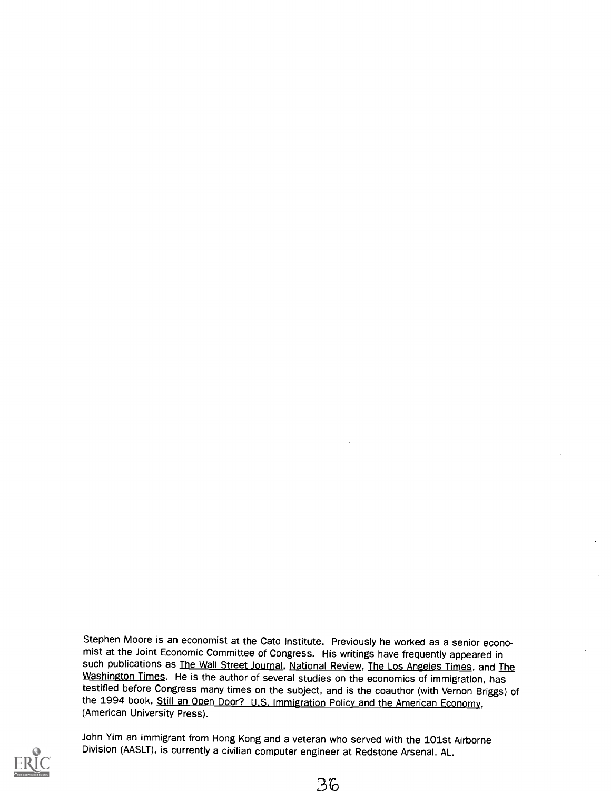Stephen Moore is an economist at the Cato Institute. Previously he worked as a senior economist at the Joint Economic Committee of Congress. His writings have frequently appeared in such publications as The Wall Street Journal, National Review, The Los Angeles Times, and The Washington Times. He is the author of several studies on the economics of immigration, has testified before Congress many times on the subject, and is the coauthor (with Vernon Briggs) of the 1994 book, Still an Open Door? U.S. Immigration Policy and the American Economy, (American University Press).



John Yim an immigrant from Hong Kong and a veteran who served with the 101st Airborne Division (AASLT), is currently a civilian computer engineer at Redstone Arsenal, AL.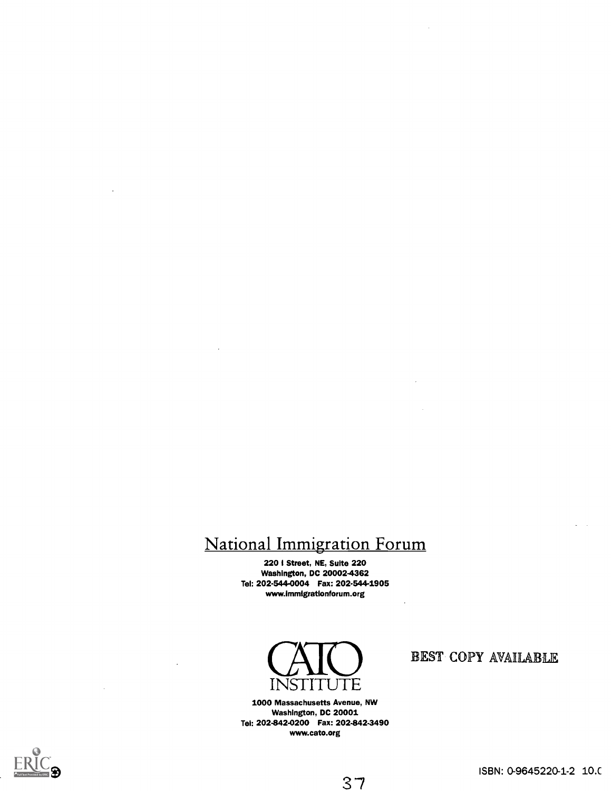## National Immigration Forum

220 I Street, NE, Suite 220 Washington, DC 20002-4362 Tel: 202-544-0004 Fax: 202-544-1905 www.immlgrationforum.org



1000 Massachusetts Avenue, NW Washington, DC 20001 Tel: 202-842-0200 Fax: 202-842-3490 www.cato.org

## BEST COPY AVAILABLE



 $\ddot{\phantom{a}}$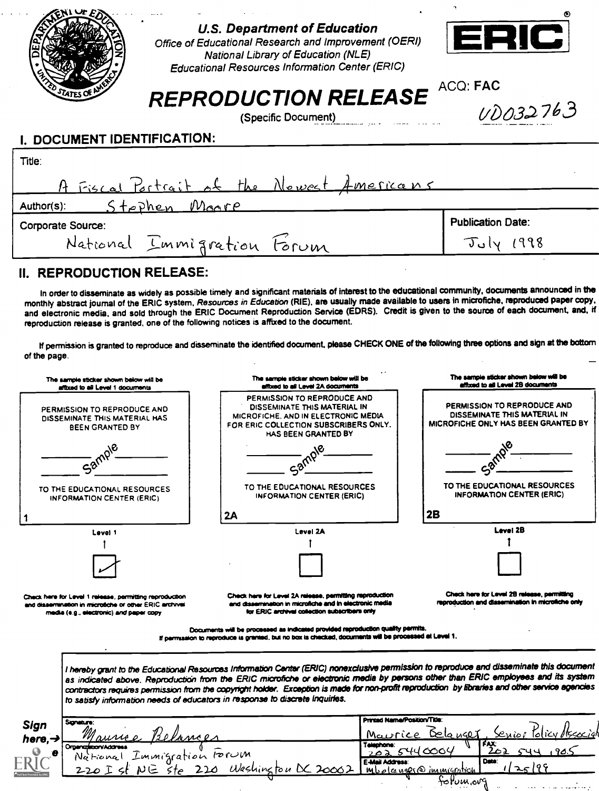|                             | <b>U.S. Department of Education</b><br>Office of Educational Research and Improvement (OERI)<br><b>National Library of Education (NLE)</b><br><b>Educational Resources Information Center (ERIC)</b> | ERIC                     |
|-----------------------------|------------------------------------------------------------------------------------------------------------------------------------------------------------------------------------------------------|--------------------------|
|                             | <b>REPRODUCTION RELEASE</b>                                                                                                                                                                          | ACQ: FAC<br>UD032763     |
| I. DOCUMENT IDENTIFICATION: | (Specific Document)                                                                                                                                                                                  |                          |
| Title:                      | A Fiscal Portrait of the Newest Americans                                                                                                                                                            |                          |
| Author(s):                  | Stophen<br>Moore                                                                                                                                                                                     | <b>Publication Date:</b> |
| <b>Corporate Source:</b>    | National Immigration Forum                                                                                                                                                                           |                          |

## II. REPRODUCTION RELEASE:

In order to disseminate as widely as possible timely and significant materials of interest to the educational community, documents announced in the monthly abstract journal of the ERIC system, Resources in Education (RIE), are usually made available to users in microfiche, reproduced paper copy. and electronic media, and sold through the ERIC Document Reproduction Service (EDRS). Credit is given to the source of each document, and, if reproduction release is granted, one of the following notices is affixed to the document.

If permission is granted to reproduce and disseminate the identified document, please CHECK ONE of the following three options and sign at the bottom of the page.

| The sample sticker shown below will be<br>affixed to all Level 1 documents                                                                                   | The sample sticker shown below will be<br>effixed to all Level 2A documents                                                                                                                                                                                                                                                                                                                                                                                                                                       | The sample sticker shown below will be<br>affixed to all Level 2B documents                      |
|--------------------------------------------------------------------------------------------------------------------------------------------------------------|-------------------------------------------------------------------------------------------------------------------------------------------------------------------------------------------------------------------------------------------------------------------------------------------------------------------------------------------------------------------------------------------------------------------------------------------------------------------------------------------------------------------|--------------------------------------------------------------------------------------------------|
| PERMISSION TO REPRODUCE AND<br>DISSEMINATE THIS MATERIAL HAS<br><b>BEEN GRANTED BY</b>                                                                       | PERMISSION TO REPRODUCE AND<br>PERMISSION TO REPRODUCE AND<br>DISSEMINATE THIS MATERIAL IN<br>DISSEMINATE THIS MATERIAL IN<br>MICROFICHE, AND IN ELECTRONIC MEDIA<br><b>MICROFICHE ONLY HAS BEEN GRANTED BY</b><br>FOR ERIC COLLECTION SUBSCRIBERS ONLY.<br>HAS BEEN GRANTED BY                                                                                                                                                                                                                                   |                                                                                                  |
| 58 <sup>rd</sup>                                                                                                                                             |                                                                                                                                                                                                                                                                                                                                                                                                                                                                                                                   |                                                                                                  |
| TO THE EDUCATIONAL RESOURCES<br><b>INFORMATION CENTER (ERIC)</b>                                                                                             | TO THE EDUCATIONAL RESOURCES<br>INFORMATION CENTER (ERIC)                                                                                                                                                                                                                                                                                                                                                                                                                                                         | TO THE EDUCATIONAL RESOURCES<br><b>INFORMATION CENTER (ERIC)</b>                                 |
|                                                                                                                                                              | 2A                                                                                                                                                                                                                                                                                                                                                                                                                                                                                                                | 2B                                                                                               |
| Level 1                                                                                                                                                      | Level 2A                                                                                                                                                                                                                                                                                                                                                                                                                                                                                                          | Level 2B                                                                                         |
|                                                                                                                                                              |                                                                                                                                                                                                                                                                                                                                                                                                                                                                                                                   |                                                                                                  |
|                                                                                                                                                              |                                                                                                                                                                                                                                                                                                                                                                                                                                                                                                                   |                                                                                                  |
| Check here for Level 1 release, permitting reproduction<br>and dissemination in microfiche or other ERIC archival<br>media (e.g., electronic) and paper copy | Check here for Level 2A release, parmitting reproduction<br>and disservination in microfiche and in electronic media<br>for ERIC archival collection subscribers only                                                                                                                                                                                                                                                                                                                                             | Check here for Level 2B release, permitting<br>reproduction and dissemination in microfiche only |
|                                                                                                                                                              | Documents will be processed as indicated provided reproduction quality permits.<br>If permission to reproduce is granted, but no box is checked, documents will be processed at Level 1.                                                                                                                                                                                                                                                                                                                          |                                                                                                  |
|                                                                                                                                                              | I hereby grant to the Educational Resources Information Center (ERIC) nonexclusive permission to reproduce and disseminate this document<br>as indicated above. Reproduction from the ERIC microfiche or electronic media by persons other than ERIC employees and its system<br>contractors requires permission from the copyright holder. Exception is made for non-profit reproduction by libraries and other service agencies<br>to satisfy information needs of educators in response to discrete inquiries. |                                                                                                  |
| <b>Sonature</b>                                                                                                                                              |                                                                                                                                                                                                                                                                                                                                                                                                                                                                                                                   | Printed Name/Position/Title:                                                                     |
| Sign<br>here, $\rightarrow$                                                                                                                                  |                                                                                                                                                                                                                                                                                                                                                                                                                                                                                                                   | Maurice Delanger                                                                                 |
| Organization/Address<br>е                                                                                                                                    | Telephone:                                                                                                                                                                                                                                                                                                                                                                                                                                                                                                        | FAX:<br>202 5440004                                                                              |
| Immigration rorum<br>National                                                                                                                                | E-Mail Address:                                                                                                                                                                                                                                                                                                                                                                                                                                                                                                   | Date:                                                                                            |
|                                                                                                                                                              | Washine                                                                                                                                                                                                                                                                                                                                                                                                                                                                                                           | Mbolcenser@immigration                                                                           |
|                                                                                                                                                              |                                                                                                                                                                                                                                                                                                                                                                                                                                                                                                                   | follum.ovg                                                                                       |